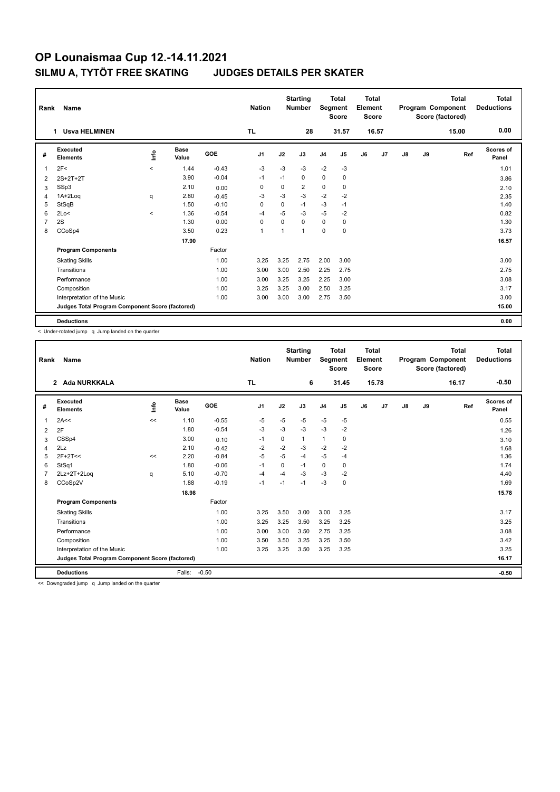| Rank | Name<br><b>Usva HELMINEN</b><br>1               |         |                      |         | <b>Nation</b>  |          | <b>Starting</b><br><b>Number</b> |                | <b>Total</b><br>Segment<br><b>Score</b> | <b>Total</b><br>Element<br><b>Score</b> |       |    |    | <b>Total</b><br>Program Component<br>Score (factored) | <b>Total</b><br><b>Deductions</b> |
|------|-------------------------------------------------|---------|----------------------|---------|----------------|----------|----------------------------------|----------------|-----------------------------------------|-----------------------------------------|-------|----|----|-------------------------------------------------------|-----------------------------------|
|      |                                                 |         |                      |         | <b>TL</b>      |          | 28                               |                | 31.57                                   |                                         | 16.57 |    |    | 15.00                                                 | 0.00                              |
| #    | Executed<br><b>Elements</b>                     | lnfo    | <b>Base</b><br>Value | GOE     | J <sub>1</sub> | J2       | J3                               | J <sub>4</sub> | J5                                      | J6                                      | J7    | J8 | J9 | Ref                                                   | <b>Scores of</b><br>Panel         |
| 1    | 2F<                                             | $\prec$ | 1.44                 | $-0.43$ | -3             | $-3$     | $-3$                             | $-2$           | -3                                      |                                         |       |    |    |                                                       | 1.01                              |
| 2    | $2S+2T+2T$                                      |         | 3.90                 | $-0.04$ | $-1$           | $-1$     | 0                                | $\mathbf 0$    | $\mathbf 0$                             |                                         |       |    |    |                                                       | 3.86                              |
| 3    | SSp3                                            |         | 2.10                 | 0.00    | 0              | 0        | 2                                | $\mathbf 0$    | 0                                       |                                         |       |    |    |                                                       | 2.10                              |
| 4    | 1A+2Log                                         | q       | 2.80                 | $-0.45$ | $-3$           | $-3$     | $-3$                             | $-2$           | $-2$                                    |                                         |       |    |    |                                                       | 2.35                              |
| 5    | StSqB                                           |         | 1.50                 | $-0.10$ | 0              | 0        | $-1$                             | $-3$           | $-1$                                    |                                         |       |    |    |                                                       | 1.40                              |
| 6    | 2Lo<                                            | $\prec$ | 1.36                 | $-0.54$ | $-4$           | $-5$     | $-3$                             | $-5$           | -2                                      |                                         |       |    |    |                                                       | 0.82                              |
| 7    | 2S                                              |         | 1.30                 | 0.00    | $\mathbf 0$    | $\Omega$ | 0                                | $\Omega$       | 0                                       |                                         |       |    |    |                                                       | 1.30                              |
| 8    | CCoSp4                                          |         | 3.50                 | 0.23    | $\mathbf{1}$   |          | 1                                | $\mathbf 0$    | 0                                       |                                         |       |    |    |                                                       | 3.73                              |
|      |                                                 |         | 17.90                |         |                |          |                                  |                |                                         |                                         |       |    |    |                                                       | 16.57                             |
|      | <b>Program Components</b>                       |         |                      | Factor  |                |          |                                  |                |                                         |                                         |       |    |    |                                                       |                                   |
|      | <b>Skating Skills</b>                           |         |                      | 1.00    | 3.25           | 3.25     | 2.75                             | 2.00           | 3.00                                    |                                         |       |    |    |                                                       | 3.00                              |
|      | Transitions                                     |         |                      | 1.00    | 3.00           | 3.00     | 2.50                             | 2.25           | 2.75                                    |                                         |       |    |    |                                                       | 2.75                              |
|      | Performance                                     |         |                      | 1.00    | 3.00           | 3.25     | 3.25                             | 2.25           | 3.00                                    |                                         |       |    |    |                                                       | 3.08                              |
|      | Composition                                     |         |                      | 1.00    | 3.25           | 3.25     | 3.00                             | 2.50           | 3.25                                    |                                         |       |    |    |                                                       | 3.17                              |
|      | Interpretation of the Music                     |         |                      | 1.00    | 3.00           | 3.00     | 3.00                             | 2.75           | 3.50                                    |                                         |       |    |    |                                                       | 3.00                              |
|      | Judges Total Program Component Score (factored) |         |                      |         |                |          |                                  |                |                                         |                                         |       |    |    |                                                       | 15.00                             |
|      | <b>Deductions</b>                               |         |                      |         |                |          |                                  |                |                                         |                                         |       |    |    |                                                       | 0.00                              |

< Under-rotated jump q Jump landed on the quarter

| Rank | <b>Name</b>                                     |      |                      |         | <b>Nation</b> |      | <b>Starting</b><br><b>Number</b> | Segment        | <b>Total</b><br><b>Score</b> | <b>Total</b><br>Element<br><b>Score</b> |       |               |    | <b>Total</b><br>Program Component<br>Score (factored) | <b>Total</b><br><b>Deductions</b> |
|------|-------------------------------------------------|------|----------------------|---------|---------------|------|----------------------------------|----------------|------------------------------|-----------------------------------------|-------|---------------|----|-------------------------------------------------------|-----------------------------------|
|      | <b>Ada NURKKALA</b><br>$\mathbf{2}$             |      |                      |         | <b>TL</b>     |      | 6                                |                | 31.45                        |                                         | 15.78 |               |    | 16.17                                                 | $-0.50$                           |
| #    | Executed<br><b>Elements</b>                     | lnfo | <b>Base</b><br>Value | GOE     | J1            | J2   | J3                               | J <sub>4</sub> | J5                           | J6                                      | J7    | $\mathsf{J}8$ | J9 | Ref                                                   | <b>Scores of</b><br>Panel         |
| 1    | 2A<<                                            | <<   | 1.10                 | $-0.55$ | $-5$          | $-5$ | $-5$                             | $-5$           | $-5$                         |                                         |       |               |    |                                                       | 0.55                              |
| 2    | 2F                                              |      | 1.80                 | $-0.54$ | $-3$          | $-3$ | $-3$                             | $-3$           | $-2$                         |                                         |       |               |    |                                                       | 1.26                              |
| 3    | CSSp4                                           |      | 3.00                 | 0.10    | $-1$          | 0    | 1                                | $\mathbf{1}$   | 0                            |                                         |       |               |    |                                                       | 3.10                              |
| 4    | 2Lz                                             |      | 2.10                 | $-0.42$ | $-2$          | $-2$ | $-3$                             | $-2$           | $-2$                         |                                         |       |               |    |                                                       | 1.68                              |
| 5    | $2F+2T<<$                                       | <<   | 2.20                 | $-0.84$ | $-5$          | $-5$ | $-4$                             | $-5$           | $-4$                         |                                         |       |               |    |                                                       | 1.36                              |
| 6    | StSq1                                           |      | 1.80                 | $-0.06$ | $-1$          | 0    | $-1$                             | 0              | 0                            |                                         |       |               |    |                                                       | 1.74                              |
|      | 2Lz+2T+2Log                                     | q    | 5.10                 | $-0.70$ | $-4$          | $-4$ | $-3$                             | $-3$           | $-2$                         |                                         |       |               |    |                                                       | 4.40                              |
| 8    | CCoSp2V                                         |      | 1.88                 | $-0.19$ | $-1$          | $-1$ | $-1$                             | $-3$           | 0                            |                                         |       |               |    |                                                       | 1.69                              |
|      |                                                 |      | 18.98                |         |               |      |                                  |                |                              |                                         |       |               |    |                                                       | 15.78                             |
|      | <b>Program Components</b>                       |      |                      | Factor  |               |      |                                  |                |                              |                                         |       |               |    |                                                       |                                   |
|      | <b>Skating Skills</b>                           |      |                      | 1.00    | 3.25          | 3.50 | 3.00                             | 3.00           | 3.25                         |                                         |       |               |    |                                                       | 3.17                              |
|      | Transitions                                     |      |                      | 1.00    | 3.25          | 3.25 | 3.50                             | 3.25           | 3.25                         |                                         |       |               |    |                                                       | 3.25                              |
|      | Performance                                     |      |                      | 1.00    | 3.00          | 3.00 | 3.50                             | 2.75           | 3.25                         |                                         |       |               |    |                                                       | 3.08                              |
|      | Composition                                     |      |                      | 1.00    | 3.50          | 3.50 | 3.25                             | 3.25           | 3.50                         |                                         |       |               |    |                                                       | 3.42                              |
|      | Interpretation of the Music                     |      |                      | 1.00    | 3.25          | 3.25 | 3.50                             | 3.25           | 3.25                         |                                         |       |               |    |                                                       | 3.25                              |
|      | Judges Total Program Component Score (factored) |      |                      |         |               |      |                                  |                |                              |                                         |       |               |    |                                                       | 16.17                             |
|      | <b>Deductions</b>                               |      | Falls:               | $-0.50$ |               |      |                                  |                |                              |                                         |       |               |    |                                                       | $-0.50$                           |

<< Downgraded jump q Jump landed on the quarter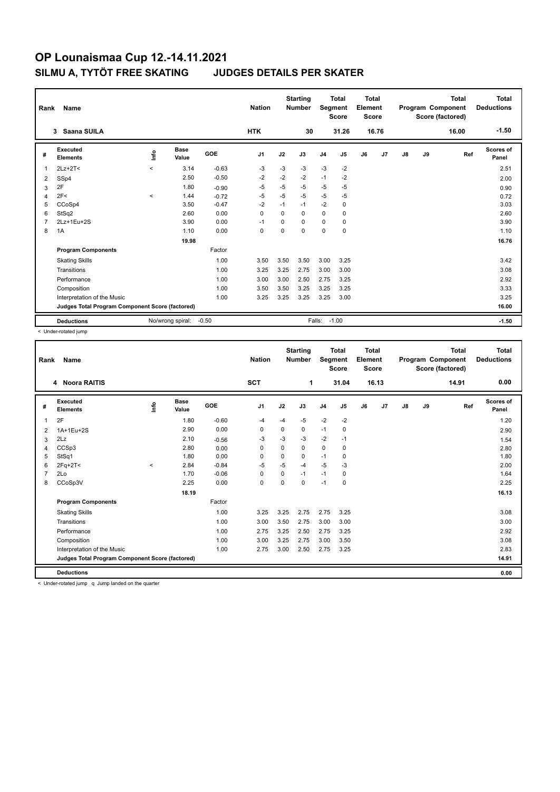| Rank           | Name<br>Saana SUILA<br>3                        |                  |                      |         |                |             | <b>Starting</b><br><b>Number</b> | Segment        | <b>Total</b><br><b>Score</b> | <b>Total</b><br>Element<br><b>Score</b> |       |               |    | <b>Total</b><br>Program Component<br>Score (factored) | Total<br><b>Deductions</b> |
|----------------|-------------------------------------------------|------------------|----------------------|---------|----------------|-------------|----------------------------------|----------------|------------------------------|-----------------------------------------|-------|---------------|----|-------------------------------------------------------|----------------------------|
|                |                                                 |                  |                      |         | <b>HTK</b>     |             | 30                               |                | 31.26                        |                                         | 16.76 |               |    | 16.00                                                 | $-1.50$                    |
| #              | Executed<br><b>Elements</b>                     | lnfo             | <b>Base</b><br>Value | GOE     | J <sub>1</sub> | J2          | J3                               | J <sub>4</sub> | J <sub>5</sub>               | J6                                      | J7    | $\mathsf{J}8$ | J9 | Ref                                                   | Scores of<br>Panel         |
| $\overline{1}$ | $2Lz+2T<$                                       | $\prec$          | 3.14                 | $-0.63$ | $-3$           | $-3$        | $-3$                             | $-3$           | $-2$                         |                                         |       |               |    |                                                       | 2.51                       |
| 2              | SSp4                                            |                  | 2.50                 | $-0.50$ | $-2$           | $-2$        | $-2$                             | $-1$           | $-2$                         |                                         |       |               |    |                                                       | 2.00                       |
| 3              | 2F                                              |                  | 1.80                 | $-0.90$ | $-5$           | $-5$        | -5                               | $-5$           | $-5$                         |                                         |       |               |    |                                                       | 0.90                       |
| $\overline{4}$ | 2F<                                             | $\prec$          | 1.44                 | $-0.72$ | $-5$           | $-5$        | $-5$                             | $-5$           | -5                           |                                         |       |               |    |                                                       | 0.72                       |
| 5              | CCoSp4                                          |                  | 3.50                 | $-0.47$ | $-2$           | $-1$        | $-1$                             | $-2$           | $\mathbf 0$                  |                                         |       |               |    |                                                       | 3.03                       |
| 6              | StSq2                                           |                  | 2.60                 | 0.00    | $\mathbf 0$    | $\mathbf 0$ | $\Omega$                         | $\mathbf 0$    | $\mathbf 0$                  |                                         |       |               |    |                                                       | 2.60                       |
| $\overline{7}$ | 2Lz+1Eu+2S                                      |                  | 3.90                 | 0.00    | $-1$           | $\Omega$    | $\Omega$                         | 0              | 0                            |                                         |       |               |    |                                                       | 3.90                       |
| 8              | 1A                                              |                  | 1.10                 | 0.00    | 0              | 0           | $\Omega$                         | $\mathbf 0$    | 0                            |                                         |       |               |    |                                                       | 1.10                       |
|                |                                                 |                  | 19.98                |         |                |             |                                  |                |                              |                                         |       |               |    |                                                       | 16.76                      |
|                | <b>Program Components</b>                       |                  |                      | Factor  |                |             |                                  |                |                              |                                         |       |               |    |                                                       |                            |
|                | <b>Skating Skills</b>                           |                  |                      | 1.00    | 3.50           | 3.50        | 3.50                             | 3.00           | 3.25                         |                                         |       |               |    |                                                       | 3.42                       |
|                | Transitions                                     |                  |                      | 1.00    | 3.25           | 3.25        | 2.75                             | 3.00           | 3.00                         |                                         |       |               |    |                                                       | 3.08                       |
|                | Performance                                     |                  |                      | 1.00    | 3.00           | 3.00        | 2.50                             | 2.75           | 3.25                         |                                         |       |               |    |                                                       | 2.92                       |
|                | Composition                                     |                  |                      | 1.00    | 3.50           | 3.50        | 3.25                             | 3.25           | 3.25                         |                                         |       |               |    |                                                       | 3.33                       |
|                | Interpretation of the Music                     |                  |                      | 1.00    | 3.25           | 3.25        | 3.25                             | 3.25           | 3.00                         |                                         |       |               |    |                                                       | 3.25                       |
|                | Judges Total Program Component Score (factored) |                  |                      |         |                |             |                                  |                |                              |                                         |       |               |    |                                                       | 16.00                      |
|                | <b>Deductions</b>                               | No/wrong spiral: | $-0.50$              |         |                | Falls:      |                                  | $-1.00$        |                              |                                         |       |               |    | $-1.50$                                               |                            |

< Under-rotated jump

| Rank | <b>Name</b>                                     |          |                      |         | <b>Nation</b>  |          | <b>Starting</b><br><b>Number</b> | Segment        | <b>Total</b><br><b>Score</b> | <b>Total</b><br>Element<br><b>Score</b> |       |               |    | <b>Total</b><br>Program Component<br>Score (factored) | <b>Total</b><br><b>Deductions</b> |
|------|-------------------------------------------------|----------|----------------------|---------|----------------|----------|----------------------------------|----------------|------------------------------|-----------------------------------------|-------|---------------|----|-------------------------------------------------------|-----------------------------------|
|      | <b>Noora RAITIS</b><br>4                        |          |                      |         | <b>SCT</b>     |          | 1                                |                | 31.04                        |                                         | 16.13 |               |    | 14.91                                                 | 0.00                              |
| #    | Executed<br><b>Elements</b>                     | lnfo     | <b>Base</b><br>Value | GOE     | J <sub>1</sub> | J2       | J3                               | J <sub>4</sub> | J <sub>5</sub>               | J6                                      | J7    | $\mathsf{J}8$ | J9 | Ref                                                   | Scores of<br>Panel                |
| 1    | 2F                                              |          | 1.80                 | $-0.60$ | $-4$           | $-4$     | $-5$                             | $-2$           | $-2$                         |                                         |       |               |    |                                                       | 1.20                              |
| 2    | 1A+1Eu+2S                                       |          | 2.90                 | 0.00    | 0              | 0        | 0                                | $-1$           | 0                            |                                         |       |               |    |                                                       | 2.90                              |
| 3    | 2Lz                                             |          | 2.10                 | $-0.56$ | -3             | $-3$     | $-3$                             | $-2$           | $-1$                         |                                         |       |               |    |                                                       | 1.54                              |
| 4    | CCSp3                                           |          | 2.80                 | 0.00    | $\Omega$       | $\Omega$ | $\Omega$                         | $\mathbf 0$    | 0                            |                                         |       |               |    |                                                       | 2.80                              |
| 5    | StSq1                                           |          | 1.80                 | 0.00    | $\mathbf 0$    | 0        | 0                                | $-1$           | $\mathbf 0$                  |                                         |       |               |    |                                                       | 1.80                              |
| 6    | $2Fq+2T<$                                       | $\hat{}$ | 2.84                 | $-0.84$ | -5             | -5       | $-4$                             | $-5$           | $-3$                         |                                         |       |               |    |                                                       | 2.00                              |
|      | 2Lo                                             |          | 1.70                 | $-0.06$ | 0              | 0        | $-1$                             | $-1$           | 0                            |                                         |       |               |    |                                                       | 1.64                              |
| 8    | CCoSp3V                                         |          | 2.25                 | 0.00    | $\mathbf 0$    | $\Omega$ | 0                                | $-1$           | $\mathbf 0$                  |                                         |       |               |    |                                                       | 2.25                              |
|      |                                                 |          | 18.19                |         |                |          |                                  |                |                              |                                         |       |               |    |                                                       | 16.13                             |
|      | <b>Program Components</b>                       |          |                      | Factor  |                |          |                                  |                |                              |                                         |       |               |    |                                                       |                                   |
|      | <b>Skating Skills</b>                           |          |                      | 1.00    | 3.25           | 3.25     | 2.75                             | 2.75           | 3.25                         |                                         |       |               |    |                                                       | 3.08                              |
|      | Transitions                                     |          |                      | 1.00    | 3.00           | 3.50     | 2.75                             | 3.00           | 3.00                         |                                         |       |               |    |                                                       | 3.00                              |
|      | Performance                                     |          |                      | 1.00    | 2.75           | 3.25     | 2.50                             | 2.75           | 3.25                         |                                         |       |               |    |                                                       | 2.92                              |
|      | Composition                                     |          |                      | 1.00    | 3.00           | 3.25     | 2.75                             | 3.00           | 3.50                         |                                         |       |               |    |                                                       | 3.08                              |
|      | Interpretation of the Music                     |          |                      | 1.00    | 2.75           | 3.00     | 2.50                             | 2.75           | 3.25                         |                                         |       |               |    |                                                       | 2.83                              |
|      | Judges Total Program Component Score (factored) |          |                      |         |                |          |                                  |                |                              |                                         |       |               |    |                                                       | 14.91                             |
|      | <b>Deductions</b>                               |          |                      |         |                |          |                                  |                |                              |                                         |       |               |    |                                                       | 0.00                              |

< Under-rotated jump q Jump landed on the quarter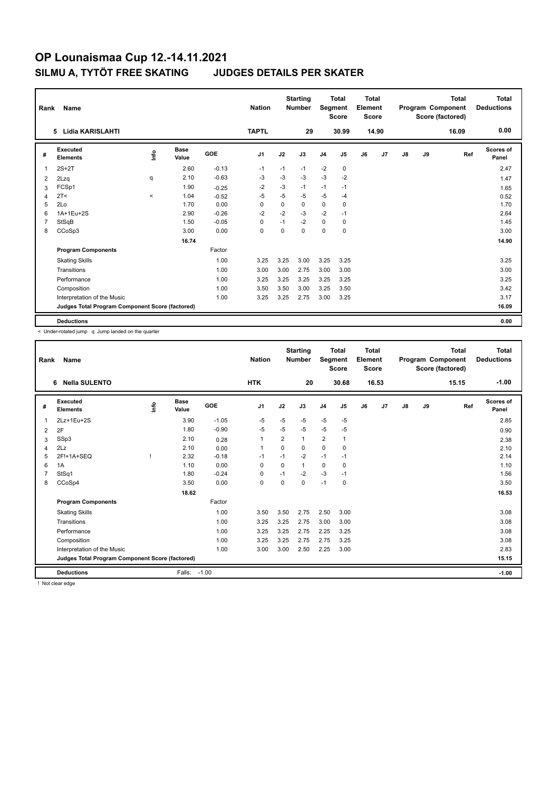| Rank           | Name                                            |         | <b>Nation</b> |            | <b>Starting</b><br><b>Number</b> | Segment  | <b>Total</b><br><b>Score</b> | Total<br>Element<br><b>Score</b> |             |    |       | <b>Total</b><br>Program Component<br>Score (factored) | Total<br><b>Deductions</b> |       |                    |
|----------------|-------------------------------------------------|---------|---------------|------------|----------------------------------|----------|------------------------------|----------------------------------|-------------|----|-------|-------------------------------------------------------|----------------------------|-------|--------------------|
|                | Lidia KARISLAHTI<br>5.                          |         |               |            | <b>TAPTL</b>                     |          | 29                           |                                  | 30.99       |    | 14.90 |                                                       |                            | 16.09 | 0.00               |
| #              | Executed<br><b>Elements</b>                     | lnfo    | Base<br>Value | <b>GOE</b> | J <sub>1</sub>                   | J2       | J3                           | J <sub>4</sub>                   | J5          | J6 | J7    | J8                                                    | J9                         | Ref   | Scores of<br>Panel |
| 1              | $2S+2T$                                         |         | 2.60          | $-0.13$    | $-1$                             | $-1$     | $-1$                         | $-2$                             | $\mathbf 0$ |    |       |                                                       |                            |       | 2.47               |
| 2              | 2Lzq                                            | q       | 2.10          | $-0.63$    | $-3$                             | $-3$     | $-3$                         | $-3$                             | $-2$        |    |       |                                                       |                            |       | 1.47               |
| 3              | FCSp1                                           |         | 1.90          | $-0.25$    | $-2$                             | $-3$     | $-1$                         | $-1$                             | $-1$        |    |       |                                                       |                            |       | 1.65               |
| 4              | 2T <                                            | $\prec$ | 1.04          | $-0.52$    | $-5$                             | $-5$     | $-5$                         | $-5$                             | $-4$        |    |       |                                                       |                            |       | 0.52               |
| 5              | 2Lo                                             |         | 1.70          | 0.00       | 0                                | 0        | 0                            | $\mathbf 0$                      | 0           |    |       |                                                       |                            |       | 1.70               |
| 6              | 1A+1Eu+2S                                       |         | 2.90          | $-0.26$    | $-2$                             | $-2$     | $-3$                         | $-2$                             | $-1$        |    |       |                                                       |                            |       | 2.64               |
| $\overline{7}$ | StSqB                                           |         | 1.50          | $-0.05$    | $\Omega$                         | $-1$     | $-2$                         | $\mathbf 0$                      | 0           |    |       |                                                       |                            |       | 1.45               |
| 8              | CCoSp3                                          |         | 3.00          | 0.00       | 0                                | $\Omega$ | $\Omega$                     | $\mathbf 0$                      | 0           |    |       |                                                       |                            |       | 3.00               |
|                |                                                 |         | 16.74         |            |                                  |          |                              |                                  |             |    |       |                                                       |                            |       | 14.90              |
|                | <b>Program Components</b>                       |         |               | Factor     |                                  |          |                              |                                  |             |    |       |                                                       |                            |       |                    |
|                | <b>Skating Skills</b>                           |         |               | 1.00       | 3.25                             | 3.25     | 3.00                         | 3.25                             | 3.25        |    |       |                                                       |                            |       | 3.25               |
|                | Transitions                                     |         |               | 1.00       | 3.00                             | 3.00     | 2.75                         | 3.00                             | 3.00        |    |       |                                                       |                            |       | 3.00               |
|                | Performance                                     |         |               | 1.00       | 3.25                             | 3.25     | 3.25                         | 3.25                             | 3.25        |    |       |                                                       |                            |       | 3.25               |
|                | Composition                                     |         |               | 1.00       | 3.50                             | 3.50     | 3.00                         | 3.25                             | 3.50        |    |       |                                                       |                            |       | 3.42               |
|                | Interpretation of the Music                     |         |               | 1.00       | 3.25                             | 3.25     | 2.75                         | 3.00                             | 3.25        |    |       |                                                       |                            |       | 3.17               |
|                | Judges Total Program Component Score (factored) |         |               |            |                                  |          |                              |                                  |             |    |       |                                                       |                            |       | 16.09              |
|                | <b>Deductions</b>                               |         |               |            |                                  |          |                              |                                  |             |    |       |                                                       |                            |       | 0.00               |

< Under-rotated jump q Jump landed on the quarter

| Rank | Name                                            |    |                      |         | <b>Nation</b>  |          | <b>Starting</b><br><b>Number</b> | Segment        | <b>Total</b><br><b>Score</b> | <b>Total</b><br>Element<br><b>Score</b> |       |    |    | <b>Total</b><br>Program Component<br>Score (factored) | <b>Total</b><br><b>Deductions</b> |
|------|-------------------------------------------------|----|----------------------|---------|----------------|----------|----------------------------------|----------------|------------------------------|-----------------------------------------|-------|----|----|-------------------------------------------------------|-----------------------------------|
|      | <b>Nella SULENTO</b><br>6                       |    |                      |         | <b>HTK</b>     |          | 20                               |                | 30.68                        |                                         | 16.53 |    |    | 15.15                                                 | $-1.00$                           |
| #    | Executed<br><b>Elements</b>                     | ۴ů | <b>Base</b><br>Value | GOE     | J <sub>1</sub> | J2       | J3                               | J <sub>4</sub> | J5                           | J6                                      | J7    | J8 | J9 | Ref                                                   | <b>Scores of</b><br>Panel         |
| 1    | 2Lz+1Eu+2S                                      |    | 3.90                 | $-1.05$ | $-5$           | $-5$     | $-5$                             | $-5$           | $-5$                         |                                         |       |    |    |                                                       | 2.85                              |
| 2    | 2F                                              |    | 1.80                 | $-0.90$ | -5             | $-5$     | $-5$                             | $-5$           | $-5$                         |                                         |       |    |    |                                                       | 0.90                              |
| 3    | SSp3                                            |    | 2.10                 | 0.28    | $\mathbf{1}$   | 2        | 1                                | $\overline{2}$ | 1                            |                                         |       |    |    |                                                       | 2.38                              |
| 4    | 2Lz                                             |    | 2.10                 | 0.00    | $\mathbf{1}$   | $\Omega$ | 0                                | $\mathbf 0$    | $\Omega$                     |                                         |       |    |    |                                                       | 2.10                              |
| 5    | 2F!+1A+SEQ                                      |    | 2.32                 | $-0.18$ | $-1$           | $-1$     | $-2$                             | $-1$           | $-1$                         |                                         |       |    |    |                                                       | 2.14                              |
| 6    | 1A                                              |    | 1.10                 | 0.00    | $\Omega$       | $\Omega$ | 1                                | 0              | 0                            |                                         |       |    |    |                                                       | 1.10                              |
|      | StSq1                                           |    | 1.80                 | $-0.24$ | 0              | $-1$     | $-2$                             | $-3$           | $-1$                         |                                         |       |    |    |                                                       | 1.56                              |
| 8    | CCoSp4                                          |    | 3.50                 | 0.00    | $\mathbf 0$    | 0        | 0                                | $-1$           | 0                            |                                         |       |    |    |                                                       | 3.50                              |
|      |                                                 |    | 18.62                |         |                |          |                                  |                |                              |                                         |       |    |    |                                                       | 16.53                             |
|      | <b>Program Components</b>                       |    |                      | Factor  |                |          |                                  |                |                              |                                         |       |    |    |                                                       |                                   |
|      | <b>Skating Skills</b>                           |    |                      | 1.00    | 3.50           | 3.50     | 2.75                             | 2.50           | 3.00                         |                                         |       |    |    |                                                       | 3.08                              |
|      | Transitions                                     |    |                      | 1.00    | 3.25           | 3.25     | 2.75                             | 3.00           | 3.00                         |                                         |       |    |    |                                                       | 3.08                              |
|      | Performance                                     |    |                      | 1.00    | 3.25           | 3.25     | 2.75                             | 2.25           | 3.25                         |                                         |       |    |    |                                                       | 3.08                              |
|      | Composition                                     |    |                      | 1.00    | 3.25           | 3.25     | 2.75                             | 2.75           | 3.25                         |                                         |       |    |    |                                                       | 3.08                              |
|      | Interpretation of the Music                     |    |                      | 1.00    | 3.00           | 3.00     | 2.50                             | 2.25           | 3.00                         |                                         |       |    |    |                                                       | 2.83                              |
|      | Judges Total Program Component Score (factored) |    |                      |         |                |          |                                  |                |                              |                                         |       |    |    |                                                       | 15.15                             |
|      | <b>Deductions</b>                               |    | Falls:               | $-1.00$ |                |          |                                  |                |                              |                                         |       |    |    |                                                       | $-1.00$                           |

! Not clear edge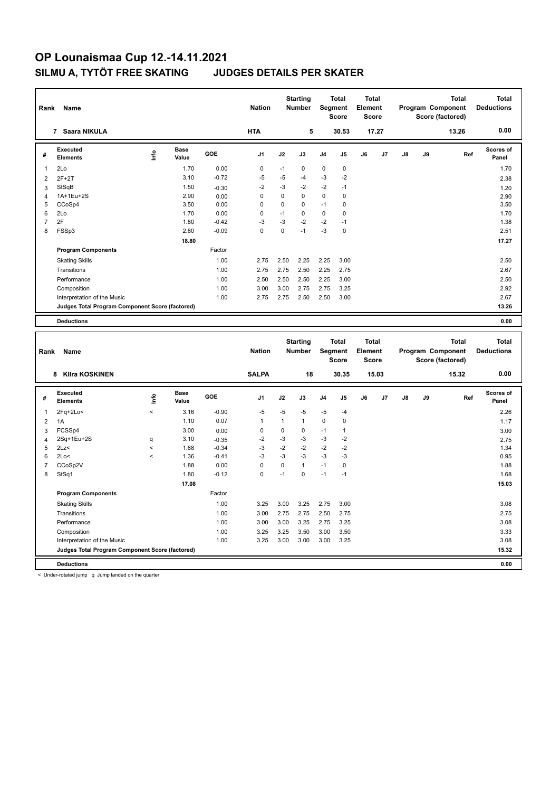| Rank<br><b>Name</b><br>7 |                                                 |      |                      |            | <b>Nation</b>  |             | <b>Starting</b><br><b>Number</b> | Segment        | <b>Total</b><br><b>Score</b> | <b>Total</b><br>Element<br><b>Score</b> |       |               |    | <b>Total</b><br>Program Component<br>Score (factored) | Total<br><b>Deductions</b> |
|--------------------------|-------------------------------------------------|------|----------------------|------------|----------------|-------------|----------------------------------|----------------|------------------------------|-----------------------------------------|-------|---------------|----|-------------------------------------------------------|----------------------------|
|                          | Saara NIKULA                                    |      |                      |            | <b>HTA</b>     |             | 5                                |                | 30.53                        |                                         | 17.27 |               |    | 13.26                                                 | 0.00                       |
| #                        | Executed<br><b>Elements</b>                     | ١nf٥ | <b>Base</b><br>Value | <b>GOE</b> | J <sub>1</sub> | J2          | J3                               | J <sub>4</sub> | J5                           | J6                                      | J7    | $\mathsf{J}8$ | J9 | Ref                                                   | Scores of<br>Panel         |
| 1                        | 2Lo                                             |      | 1.70                 | 0.00       | 0              | $-1$        | 0                                | $\mathbf 0$    | 0                            |                                         |       |               |    |                                                       | 1.70                       |
| 2                        | $2F+2T$                                         |      | 3.10                 | $-0.72$    | -5             | -5          | -4                               | $-3$           | $-2$                         |                                         |       |               |    |                                                       | 2.38                       |
| 3                        | StSqB                                           |      | 1.50                 | $-0.30$    | $-2$           | $-3$        | $-2$                             | $-2$           | $-1$                         |                                         |       |               |    |                                                       | 1.20                       |
| 4                        | 1A+1Eu+2S                                       |      | 2.90                 | 0.00       | 0              | $\mathbf 0$ | $\mathbf 0$                      | $\mathbf 0$    | 0                            |                                         |       |               |    |                                                       | 2.90                       |
| 5                        | CCoSp4                                          |      | 3.50                 | 0.00       | 0              | $\mathbf 0$ | 0                                | $-1$           | 0                            |                                         |       |               |    |                                                       | 3.50                       |
| 6                        | 2Lo                                             |      | 1.70                 | 0.00       | 0              | $-1$        | $\mathbf 0$                      | $\mathbf 0$    | $\mathbf 0$                  |                                         |       |               |    |                                                       | 1.70                       |
| $\overline{7}$           | 2F                                              |      | 1.80                 | $-0.42$    | $-3$           | $-3$        | $-2$                             | $-2$           | $-1$                         |                                         |       |               |    |                                                       | 1.38                       |
| 8                        | FSSp3                                           |      | 2.60                 | $-0.09$    | 0              | $\mathbf 0$ | $-1$                             | $-3$           | $\mathbf 0$                  |                                         |       |               |    |                                                       | 2.51                       |
|                          |                                                 |      | 18.80                |            |                |             |                                  |                |                              |                                         |       |               |    |                                                       | 17.27                      |
|                          | <b>Program Components</b>                       |      |                      | Factor     |                |             |                                  |                |                              |                                         |       |               |    |                                                       |                            |
|                          | <b>Skating Skills</b>                           |      |                      | 1.00       | 2.75           | 2.50        | 2.25                             | 2.25           | 3.00                         |                                         |       |               |    |                                                       | 2.50                       |
|                          | Transitions                                     |      |                      | 1.00       | 2.75           | 2.75        | 2.50                             | 2.25           | 2.75                         |                                         |       |               |    |                                                       | 2.67                       |
|                          | Performance                                     |      |                      | 1.00       | 2.50           | 2.50        | 2.50                             | 2.25           | 3.00                         |                                         |       |               |    |                                                       | 2.50                       |
|                          | Composition                                     |      |                      | 1.00       | 3.00           | 3.00        | 2.75                             | 2.75           | 3.25                         |                                         |       |               |    |                                                       | 2.92                       |
|                          | Interpretation of the Music                     |      |                      | 1.00       | 2.75           | 2.75        | 2.50                             | 2.50           | 3.00                         |                                         |       |               |    |                                                       | 2.67                       |
|                          | Judges Total Program Component Score (factored) |      |                      |            |                |             |                                  |                |                              |                                         |       |               |    |                                                       | 13.26                      |
|                          | <b>Deductions</b>                               |      |                      |            |                |             |                                  |                |                              |                                         |       |               |    |                                                       | 0.00                       |
|                          |                                                 |      |                      |            |                |             |                                  |                |                              |                                         |       |               |    |                                                       |                            |

| Rank | Name                                            |                          |                      |            | <b>Nation</b>  |          | <b>Starting</b><br><b>Number</b> |                | <b>Total</b><br>Segment<br><b>Score</b> | <b>Total</b><br>Element<br><b>Score</b> |       |               |    | <b>Total</b><br>Program Component<br>Score (factored) | <b>Total</b><br><b>Deductions</b> |
|------|-------------------------------------------------|--------------------------|----------------------|------------|----------------|----------|----------------------------------|----------------|-----------------------------------------|-----------------------------------------|-------|---------------|----|-------------------------------------------------------|-----------------------------------|
|      | <b>Klira KOSKINEN</b><br>8                      |                          |                      |            | <b>SALPA</b>   |          | 18                               |                | 30.35                                   |                                         | 15.03 |               |    | 15.32                                                 | 0.00                              |
| #    | <b>Executed</b><br><b>Elements</b>              | ١nfo                     | <b>Base</b><br>Value | <b>GOE</b> | J <sub>1</sub> | J2       | J3                               | J <sub>4</sub> | J <sub>5</sub>                          | J6                                      | J7    | $\mathsf{J}8$ | J9 | Ref                                                   | Scores of<br>Panel                |
| 1    | $2Fq+2Lo<$                                      | $\prec$                  | 3.16                 | $-0.90$    | $-5$           | $-5$     | $-5$                             | $-5$           | $-4$                                    |                                         |       |               |    |                                                       | 2.26                              |
| 2    | 1A                                              |                          | 1.10                 | 0.07       | 1              | 1        | $\mathbf{1}$                     | $\mathbf 0$    | 0                                       |                                         |       |               |    |                                                       | 1.17                              |
| 3    | FCSSp4                                          |                          | 3.00                 | 0.00       | 0              | 0        | $\mathbf 0$                      | $-1$           | $\overline{1}$                          |                                         |       |               |    |                                                       | 3.00                              |
| 4    | 2Sq+1Eu+2S                                      | q                        | 3.10                 | $-0.35$    | $-2$           | $-3$     | $-3$                             | $-3$           | $-2$                                    |                                         |       |               |    |                                                       | 2.75                              |
| 5    | 2Lz                                             | $\prec$                  | 1.68                 | $-0.34$    | $-3$           | $-2$     | -2                               | $-2$           | -2                                      |                                         |       |               |    |                                                       | 1.34                              |
| 6    | 2Lo<                                            | $\overline{\phantom{0}}$ | 1.36                 | $-0.41$    | $-3$           | $-3$     | $-3$                             | $-3$           | $-3$                                    |                                         |       |               |    |                                                       | 0.95                              |
| 7    | CCoSp2V                                         |                          | 1.88                 | 0.00       | $\Omega$       | $\Omega$ | $\mathbf{1}$                     | $-1$           | 0                                       |                                         |       |               |    |                                                       | 1.88                              |
| 8    | StSq1                                           |                          | 1.80                 | $-0.12$    | 0              | $-1$     | $\mathbf 0$                      | $-1$           | $-1$                                    |                                         |       |               |    |                                                       | 1.68                              |
|      |                                                 |                          | 17.08                |            |                |          |                                  |                |                                         |                                         |       |               |    |                                                       | 15.03                             |
|      | <b>Program Components</b>                       |                          |                      | Factor     |                |          |                                  |                |                                         |                                         |       |               |    |                                                       |                                   |
|      | <b>Skating Skills</b>                           |                          |                      | 1.00       | 3.25           | 3.00     | 3.25                             | 2.75           | 3.00                                    |                                         |       |               |    |                                                       | 3.08                              |
|      | Transitions                                     |                          |                      | 1.00       | 3.00           | 2.75     | 2.75                             | 2.50           | 2.75                                    |                                         |       |               |    |                                                       | 2.75                              |
|      | Performance                                     |                          |                      | 1.00       | 3.00           | 3.00     | 3.25                             | 2.75           | 3.25                                    |                                         |       |               |    |                                                       | 3.08                              |
|      | Composition                                     |                          |                      | 1.00       | 3.25           | 3.25     | 3.50                             | 3.00           | 3.50                                    |                                         |       |               |    |                                                       | 3.33                              |
|      | Interpretation of the Music                     |                          |                      | 1.00       | 3.25           | 3.00     | 3.00                             | 3.00           | 3.25                                    |                                         |       |               |    |                                                       | 3.08                              |
|      | Judges Total Program Component Score (factored) |                          |                      |            |                |          |                                  |                |                                         |                                         |       |               |    |                                                       | 15.32                             |
|      | <b>Deductions</b>                               |                          |                      |            |                |          |                                  |                |                                         |                                         |       |               |    |                                                       | 0.00                              |

< Under-rotated jump q Jump landed on the quarter

 $\mathbf{r}$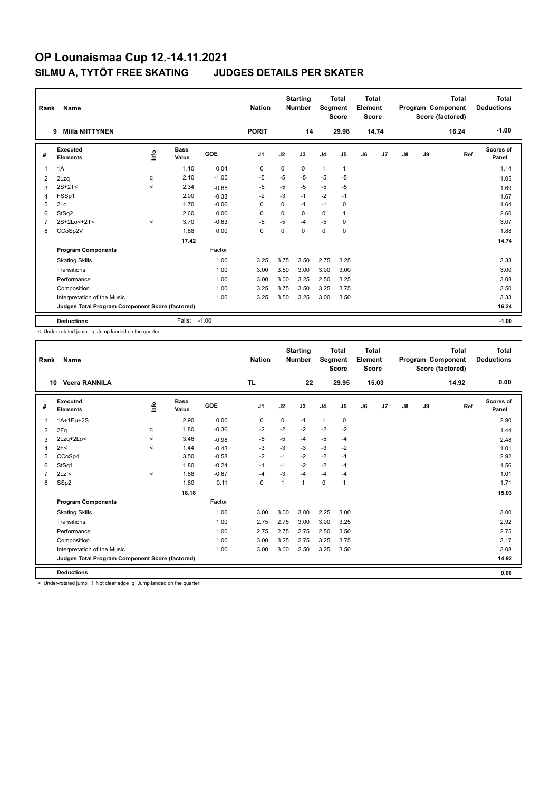| Rank           | Name                                            |         |                      |         | <b>Nation</b>  |          | <b>Starting</b><br><b>Number</b> | Segment        | <b>Total</b><br><b>Score</b> | Total<br>Element<br><b>Score</b> |                |    |    | <b>Total</b><br>Program Component<br>Score (factored) | Total<br><b>Deductions</b> |
|----------------|-------------------------------------------------|---------|----------------------|---------|----------------|----------|----------------------------------|----------------|------------------------------|----------------------------------|----------------|----|----|-------------------------------------------------------|----------------------------|
|                | <b>Miila NIITTYNEN</b><br>9                     |         |                      |         | <b>PORIT</b>   |          | 14                               |                | 29.98                        |                                  | 14.74          |    |    | 16.24                                                 | $-1.00$                    |
| #              | Executed<br><b>Elements</b>                     | ١nf٥    | <b>Base</b><br>Value | GOE     | J <sub>1</sub> | J2       | J3                               | J <sub>4</sub> | J5                           | J6                               | J <sub>7</sub> | J8 | J9 | Ref                                                   | <b>Scores of</b><br>Panel  |
| 1              | 1A                                              |         | 1.10                 | 0.04    | $\mathbf 0$    | $\Omega$ | $\Omega$                         | $\mathbf{1}$   | $\mathbf{1}$                 |                                  |                |    |    |                                                       | 1.14                       |
| 2              | 2Lzq                                            | q       | 2.10                 | $-1.05$ | -5             | $-5$     | $-5$                             | $-5$           | $-5$                         |                                  |                |    |    |                                                       | 1.05                       |
| 3              | $2S+2T<$                                        | $\prec$ | 2.34                 | $-0.65$ | $-5$           | $-5$     | $-5$                             | $-5$           | $-5$                         |                                  |                |    |    |                                                       | 1.69                       |
| 4              | FSSp1                                           |         | 2.00                 | $-0.33$ | $-2$           | $-3$     | $-1$                             | $-2$           | $-1$                         |                                  |                |    |    |                                                       | 1.67                       |
| 5              | 2Lo                                             |         | 1.70                 | $-0.06$ | $\Omega$       | $\Omega$ | $-1$                             | $-1$           | 0                            |                                  |                |    |    |                                                       | 1.64                       |
| 6              | StSq2                                           |         | 2.60                 | 0.00    | $\Omega$       | $\Omega$ | $\Omega$                         | $\mathbf 0$    | $\mathbf 1$                  |                                  |                |    |    |                                                       | 2.60                       |
| $\overline{7}$ | 2S+2Lo<+2T<                                     | $\prec$ | 3.70                 | $-0.63$ | $-5$           | -5       | $-4$                             | $-5$           | 0                            |                                  |                |    |    |                                                       | 3.07                       |
| 8              | CCoSp2V                                         |         | 1.88                 | 0.00    | $\mathbf 0$    | $\Omega$ | $\Omega$                         | $\mathbf 0$    | 0                            |                                  |                |    |    |                                                       | 1.88                       |
|                |                                                 |         | 17.42                |         |                |          |                                  |                |                              |                                  |                |    |    |                                                       | 14.74                      |
|                | <b>Program Components</b>                       |         |                      | Factor  |                |          |                                  |                |                              |                                  |                |    |    |                                                       |                            |
|                | <b>Skating Skills</b>                           |         |                      | 1.00    | 3.25           | 3.75     | 3.50                             | 2.75           | 3.25                         |                                  |                |    |    |                                                       | 3.33                       |
|                | Transitions                                     |         |                      | 1.00    | 3.00           | 3.50     | 3.00                             | 3.00           | 3.00                         |                                  |                |    |    |                                                       | 3.00                       |
|                | Performance                                     |         |                      | 1.00    | 3.00           | 3.00     | 3.25                             | 2.50           | 3.25                         |                                  |                |    |    |                                                       | 3.08                       |
|                | Composition                                     |         |                      | 1.00    | 3.25           | 3.75     | 3.50                             | 3.25           | 3.75                         |                                  |                |    |    |                                                       | 3.50                       |
|                | Interpretation of the Music                     |         |                      | 1.00    | 3.25           | 3.50     | 3.25                             | 3.00           | 3.50                         |                                  |                |    |    |                                                       | 3.33                       |
|                | Judges Total Program Component Score (factored) |         |                      |         |                |          |                                  |                |                              |                                  |                |    |    |                                                       | 16.24                      |
|                | <b>Deductions</b>                               |         | Falls:               | $-1.00$ |                |          |                                  |                |                              |                                  |                |    |    |                                                       | $-1.00$                    |

< Under-rotated jump q Jump landed on the quarter

| Rank | <b>Name</b>                                     |         |                      |         | <b>Nation</b>  |      | <b>Starting</b><br><b>Number</b> | Segment        | <b>Total</b><br><b>Score</b> | Total<br>Element<br><b>Score</b> |       |    |    | <b>Total</b><br>Program Component<br>Score (factored) | <b>Total</b><br><b>Deductions</b> |
|------|-------------------------------------------------|---------|----------------------|---------|----------------|------|----------------------------------|----------------|------------------------------|----------------------------------|-------|----|----|-------------------------------------------------------|-----------------------------------|
|      | <b>Veera RANNILA</b><br>10                      |         |                      |         | <b>TL</b>      |      | 22                               |                | 29.95                        |                                  | 15.03 |    |    | 14.92                                                 | 0.00                              |
| #    | Executed<br><b>Elements</b>                     | lnfo    | <b>Base</b><br>Value | GOE     | J <sub>1</sub> | J2   | J3                               | J <sub>4</sub> | J <sub>5</sub>               | J6                               | J7    | J8 | J9 | Ref                                                   | <b>Scores of</b><br>Panel         |
| 1    | 1A+1Eu+2S                                       |         | 2.90                 | 0.00    | $\mathbf 0$    | 0    | $-1$                             | $\mathbf{1}$   | 0                            |                                  |       |    |    |                                                       | 2.90                              |
| 2    | 2Fq                                             | q       | 1.80                 | $-0.36$ | -2             | $-2$ | $-2$                             | $-2$           | $-2$                         |                                  |       |    |    |                                                       | 1.44                              |
| 3    | 2Lzq+2Lo<                                       | $\,<$   | 3.46                 | $-0.98$ | $-5$           | $-5$ | $-4$                             | $-5$           | $-4$                         |                                  |       |    |    |                                                       | 2.48                              |
| 4    | 2F<                                             | $\prec$ | 1.44                 | $-0.43$ | $-3$           | $-3$ | $-3$                             | $-3$           | $-2$                         |                                  |       |    |    |                                                       | 1.01                              |
| 5    | CCoSp4                                          |         | 3.50                 | $-0.58$ | $-2$           | $-1$ | $-2$                             | $-2$           | $-1$                         |                                  |       |    |    |                                                       | 2.92                              |
| 6    | StSq1                                           |         | 1.80                 | $-0.24$ | $-1$           | $-1$ | $-2$                             | $-2$           | $-1$                         |                                  |       |    |    |                                                       | 1.56                              |
| 7    | $2Lz$ !<                                        | $\prec$ | 1.68                 | $-0.67$ | $-4$           | $-3$ | $-4$                             | $-4$           | $-4$                         |                                  |       |    |    |                                                       | 1.01                              |
| 8    | SSp2                                            |         | 1.60                 | 0.11    | $\mathbf 0$    | 1    | 1                                | $\mathbf 0$    | 1                            |                                  |       |    |    |                                                       | 1.71                              |
|      |                                                 |         | 18.18                |         |                |      |                                  |                |                              |                                  |       |    |    |                                                       | 15.03                             |
|      | <b>Program Components</b>                       |         |                      | Factor  |                |      |                                  |                |                              |                                  |       |    |    |                                                       |                                   |
|      | <b>Skating Skills</b>                           |         |                      | 1.00    | 3.00           | 3.00 | 3.00                             | 2.25           | 3.00                         |                                  |       |    |    |                                                       | 3.00                              |
|      | Transitions                                     |         |                      | 1.00    | 2.75           | 2.75 | 3.00                             | 3.00           | 3.25                         |                                  |       |    |    |                                                       | 2.92                              |
|      | Performance                                     |         |                      | 1.00    | 2.75           | 2.75 | 2.75                             | 2.50           | 3.50                         |                                  |       |    |    |                                                       | 2.75                              |
|      | Composition                                     |         |                      | 1.00    | 3.00           | 3.25 | 2.75                             | 3.25           | 3.75                         |                                  |       |    |    |                                                       | 3.17                              |
|      | Interpretation of the Music                     |         |                      | 1.00    | 3.00           | 3.00 | 2.50                             | 3.25           | 3.50                         |                                  |       |    |    |                                                       | 3.08                              |
|      | Judges Total Program Component Score (factored) |         |                      |         |                |      |                                  |                |                              |                                  |       |    |    |                                                       | 14.92                             |
|      | <b>Deductions</b>                               |         |                      |         |                |      |                                  |                |                              |                                  |       |    |    |                                                       | 0.00                              |

< Under-rotated jump ! Not clear edge q Jump landed on the quarter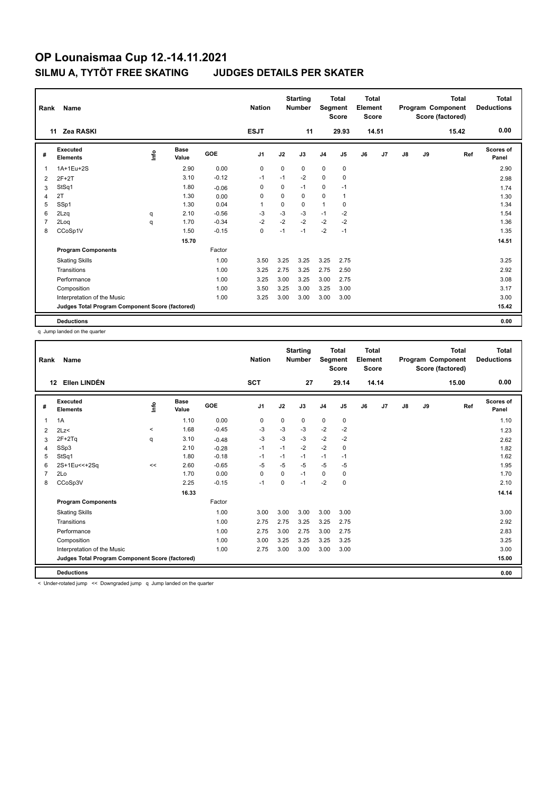| Rank           | Name<br>Zea RASKI<br>11                         |      |               |            |                |             | <b>Starting</b><br><b>Number</b> | Segment        | <b>Total</b><br><b>Score</b> | <b>Total</b><br>Element<br><b>Score</b> |       |               |    | <b>Total</b><br>Program Component<br>Score (factored) | <b>Total</b><br><b>Deductions</b> |
|----------------|-------------------------------------------------|------|---------------|------------|----------------|-------------|----------------------------------|----------------|------------------------------|-----------------------------------------|-------|---------------|----|-------------------------------------------------------|-----------------------------------|
|                |                                                 |      |               |            | <b>ESJT</b>    |             | 11                               |                | 29.93                        |                                         | 14.51 |               |    | 15.42                                                 | 0.00                              |
| #              | Executed<br><b>Elements</b>                     | ١nf٥ | Base<br>Value | <b>GOE</b> | J <sub>1</sub> | J2          | J3                               | J <sub>4</sub> | J <sub>5</sub>               | J6                                      | J7    | $\mathsf{J}8$ | J9 | Ref                                                   | <b>Scores of</b><br>Panel         |
| $\overline{1}$ | 1A+1Eu+2S                                       |      | 2.90          | 0.00       | 0              | $\mathbf 0$ | $\Omega$                         | $\mathbf 0$    | $\mathbf 0$                  |                                         |       |               |    |                                                       | 2.90                              |
| 2              | $2F+2T$                                         |      | 3.10          | $-0.12$    | $-1$           | $-1$        | $-2$                             | $\mathbf 0$    | $\mathbf 0$                  |                                         |       |               |    |                                                       | 2.98                              |
| 3              | StSq1                                           |      | 1.80          | $-0.06$    | 0              | 0           | $-1$                             | 0              | $-1$                         |                                         |       |               |    |                                                       | 1.74                              |
| $\overline{4}$ | 2T                                              |      | 1.30          | 0.00       | $\mathbf 0$    | $\Omega$    | $\Omega$                         | $\mathbf 0$    | $\mathbf{1}$                 |                                         |       |               |    |                                                       | 1.30                              |
| 5              | SSp1                                            |      | 1.30          | 0.04       | $\overline{1}$ | $\mathbf 0$ | $\mathbf 0$                      | $\mathbf{1}$   | $\mathbf 0$                  |                                         |       |               |    |                                                       | 1.34                              |
| 6              | 2Lzq                                            | q    | 2.10          | $-0.56$    | $-3$           | $-3$        | $-3$                             | $-1$           | $-2$                         |                                         |       |               |    |                                                       | 1.54                              |
| $\overline{7}$ | 2Log                                            | q    | 1.70          | $-0.34$    | $-2$           | $-2$        | $-2$                             | $-2$           | $-2$                         |                                         |       |               |    |                                                       | 1.36                              |
| 8              | CCoSp1V                                         |      | 1.50          | $-0.15$    | $\mathbf 0$    | $-1$        | $-1$                             | $-2$           | $-1$                         |                                         |       |               |    |                                                       | 1.35                              |
|                |                                                 |      | 15.70         |            |                |             |                                  |                |                              |                                         |       |               |    |                                                       | 14.51                             |
|                | <b>Program Components</b>                       |      |               | Factor     |                |             |                                  |                |                              |                                         |       |               |    |                                                       |                                   |
|                | <b>Skating Skills</b>                           |      |               | 1.00       | 3.50           | 3.25        | 3.25                             | 3.25           | 2.75                         |                                         |       |               |    |                                                       | 3.25                              |
|                | Transitions                                     |      |               | 1.00       | 3.25           | 2.75        | 3.25                             | 2.75           | 2.50                         |                                         |       |               |    |                                                       | 2.92                              |
|                | Performance                                     |      |               | 1.00       | 3.25           | 3.00        | 3.25                             | 3.00           | 2.75                         |                                         |       |               |    |                                                       | 3.08                              |
|                | Composition                                     |      |               | 1.00       | 3.50           | 3.25        | 3.00                             | 3.25           | 3.00                         |                                         |       |               |    |                                                       | 3.17                              |
|                | Interpretation of the Music                     |      |               | 1.00       | 3.25           | 3.00        | 3.00                             | 3.00           | 3.00                         |                                         |       |               |    |                                                       | 3.00                              |
|                | Judges Total Program Component Score (factored) |      |               |            |                |             |                                  |                |                              |                                         |       |               |    |                                                       | 15.42                             |
|                | <b>Deductions</b>                               |      |               |            |                |             |                                  |                |                              |                                         |       |               |    |                                                       | 0.00                              |

q Jump landed on the quarter

| Rank | Name                                            |         |                      |         | <b>Nation</b>  |             | <b>Starting</b><br><b>Number</b> | Segment        | <b>Total</b><br><b>Score</b> | <b>Total</b><br>Element<br>Score |       |               |    | <b>Total</b><br>Program Component<br>Score (factored) | <b>Total</b><br><b>Deductions</b> |
|------|-------------------------------------------------|---------|----------------------|---------|----------------|-------------|----------------------------------|----------------|------------------------------|----------------------------------|-------|---------------|----|-------------------------------------------------------|-----------------------------------|
|      | Ellen LINDÉN<br>12                              |         |                      |         | <b>SCT</b>     |             | 27                               |                | 29.14                        |                                  | 14.14 |               |    | 15.00                                                 | 0.00                              |
| #    | Executed<br><b>Elements</b>                     | lnfo    | <b>Base</b><br>Value | GOE     | J <sub>1</sub> | J2          | J3                               | J <sub>4</sub> | J5                           | J6                               | J7    | $\mathsf{J}8$ | J9 | Ref                                                   | Scores of<br>Panel                |
| 1    | 1A                                              |         | 1.10                 | 0.00    | $\mathbf 0$    | $\mathbf 0$ | 0                                | $\mathbf 0$    | $\mathbf 0$                  |                                  |       |               |    |                                                       | 1.10                              |
| 2    | 2Lz                                             | $\prec$ | 1.68                 | $-0.45$ | -3             | -3          | -3                               | $-2$           | $-2$                         |                                  |       |               |    |                                                       | 1.23                              |
| 3    | $2F+2Tq$                                        | q       | 3.10                 | $-0.48$ | $-3$           | $-3$        | $-3$                             | $-2$           | $-2$                         |                                  |       |               |    |                                                       | 2.62                              |
| 4    | SSp3                                            |         | 2.10                 | $-0.28$ | $-1$           | $-1$        | $-2$                             | $-2$           | $\mathbf 0$                  |                                  |       |               |    |                                                       | 1.82                              |
| 5    | StSq1                                           |         | 1.80                 | $-0.18$ | $-1$           | $-1$        | $-1$                             | $-1$           | $-1$                         |                                  |       |               |    |                                                       | 1.62                              |
| 6    | 2S+1Eu<<+2Sq                                    | <<      | 2.60                 | $-0.65$ | -5             | $-5$        | $-5$                             | $-5$           | -5                           |                                  |       |               |    |                                                       | 1.95                              |
|      | 2Lo                                             |         | 1.70                 | 0.00    | 0              | $\Omega$    | $-1$                             | $\mathbf 0$    | 0                            |                                  |       |               |    |                                                       | 1.70                              |
| 8    | CCoSp3V                                         |         | 2.25                 | $-0.15$ | $-1$           | $\Omega$    | $-1$                             | $-2$           | 0                            |                                  |       |               |    |                                                       | 2.10                              |
|      |                                                 |         | 16.33                |         |                |             |                                  |                |                              |                                  |       |               |    |                                                       | 14.14                             |
|      | <b>Program Components</b>                       |         |                      | Factor  |                |             |                                  |                |                              |                                  |       |               |    |                                                       |                                   |
|      | <b>Skating Skills</b>                           |         |                      | 1.00    | 3.00           | 3.00        | 3.00                             | 3.00           | 3.00                         |                                  |       |               |    |                                                       | 3.00                              |
|      | Transitions                                     |         |                      | 1.00    | 2.75           | 2.75        | 3.25                             | 3.25           | 2.75                         |                                  |       |               |    |                                                       | 2.92                              |
|      | Performance                                     |         |                      | 1.00    | 2.75           | 3.00        | 2.75                             | 3.00           | 2.75                         |                                  |       |               |    |                                                       | 2.83                              |
|      | Composition                                     |         |                      | 1.00    | 3.00           | 3.25        | 3.25                             | 3.25           | 3.25                         |                                  |       |               |    |                                                       | 3.25                              |
|      | Interpretation of the Music                     |         |                      | 1.00    | 2.75           | 3.00        | 3.00                             | 3.00           | 3.00                         |                                  |       |               |    |                                                       | 3.00                              |
|      | Judges Total Program Component Score (factored) |         |                      |         |                |             |                                  |                |                              |                                  |       |               |    |                                                       | 15.00                             |
|      | <b>Deductions</b>                               |         |                      |         |                |             |                                  |                |                              |                                  |       |               |    |                                                       | 0.00                              |

< Under-rotated jump << Downgraded jump q Jump landed on the quarter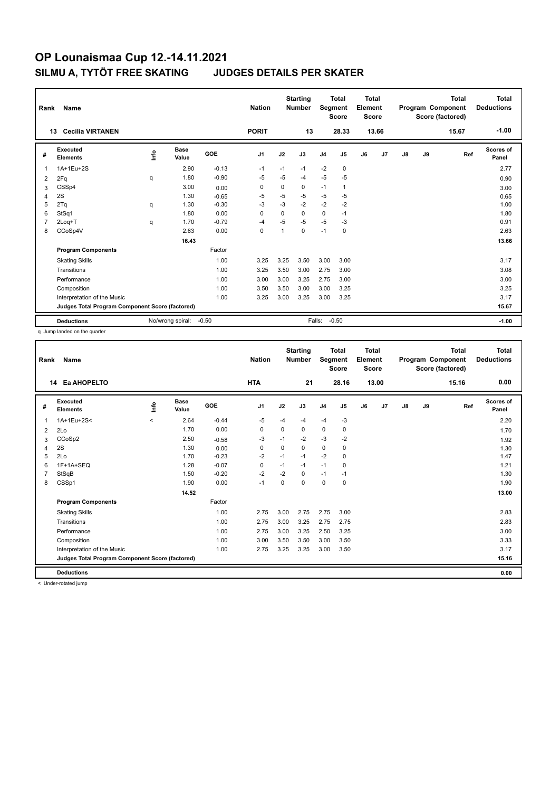| Rank           | Name                                            |      |                  |            | <b>Nation</b>  |                | <b>Starting</b><br><b>Number</b> | Segment        | Total<br><b>Score</b> | <b>Total</b><br>Element<br><b>Score</b> |       |               |    | <b>Total</b><br>Program Component<br>Score (factored) | Total<br><b>Deductions</b> |
|----------------|-------------------------------------------------|------|------------------|------------|----------------|----------------|----------------------------------|----------------|-----------------------|-----------------------------------------|-------|---------------|----|-------------------------------------------------------|----------------------------|
|                | <b>Cecilia VIRTANEN</b><br>13                   |      |                  |            | <b>PORIT</b>   |                | 13                               |                | 28.33                 |                                         | 13.66 |               |    | 15.67                                                 | $-1.00$                    |
| #              | Executed<br><b>Elements</b>                     | lnfo | Base<br>Value    | <b>GOE</b> | J <sub>1</sub> | J2             | J3                               | J <sub>4</sub> | J5                    | J6                                      | J7    | $\mathsf{J}8$ | J9 | Ref                                                   | <b>Scores of</b><br>Panel  |
| 1              | 1A+1Eu+2S                                       |      | 2.90             | $-0.13$    | $-1$           | $-1$           | $-1$                             | $-2$           | $\mathbf 0$           |                                         |       |               |    |                                                       | 2.77                       |
| $\overline{2}$ | 2Fq                                             | q    | 1.80             | $-0.90$    | $-5$           | -5             | $-4$                             | $-5$           | $-5$                  |                                         |       |               |    |                                                       | 0.90                       |
| 3              | CSSp4                                           |      | 3.00             | 0.00       | 0              | $\Omega$       | 0                                | $-1$           | 1                     |                                         |       |               |    |                                                       | 3.00                       |
| 4              | 2S                                              |      | 1.30             | $-0.65$    | $-5$           | $-5$           | $-5$                             | $-5$           | $-5$                  |                                         |       |               |    |                                                       | 0.65                       |
| 5              | 2Tq                                             | q    | 1.30             | $-0.30$    | -3             | $-3$           | $-2$                             | $-2$           | $-2$                  |                                         |       |               |    |                                                       | 1.00                       |
| 6              | StSq1                                           |      | 1.80             | 0.00       | $\Omega$       | 0              | $\Omega$                         | $\mathbf 0$    | $-1$                  |                                         |       |               |    |                                                       | 1.80                       |
| $\overline{7}$ | 2Log+T                                          | q    | 1.70             | $-0.79$    | $-4$           | $-5$           | $-5$                             | $-5$           | -3                    |                                         |       |               |    |                                                       | 0.91                       |
| 8              | CCoSp4V                                         |      | 2.63             | 0.00       | 0              | $\overline{1}$ | 0                                | $-1$           | 0                     |                                         |       |               |    |                                                       | 2.63                       |
|                |                                                 |      | 16.43            |            |                |                |                                  |                |                       |                                         |       |               |    |                                                       | 13.66                      |
|                | <b>Program Components</b>                       |      |                  | Factor     |                |                |                                  |                |                       |                                         |       |               |    |                                                       |                            |
|                | <b>Skating Skills</b>                           |      |                  | 1.00       | 3.25           | 3.25           | 3.50                             | 3.00           | 3.00                  |                                         |       |               |    |                                                       | 3.17                       |
|                | Transitions                                     |      |                  | 1.00       | 3.25           | 3.50           | 3.00                             | 2.75           | 3.00                  |                                         |       |               |    |                                                       | 3.08                       |
|                | Performance                                     |      |                  | 1.00       | 3.00           | 3.00           | 3.25                             | 2.75           | 3.00                  |                                         |       |               |    |                                                       | 3.00                       |
|                | Composition                                     |      |                  | 1.00       | 3.50           | 3.50           | 3.00                             | 3.00           | 3.25                  |                                         |       |               |    |                                                       | 3.25                       |
|                | Interpretation of the Music                     |      |                  | 1.00       | 3.25           | 3.00           | 3.25                             | 3.00           | 3.25                  |                                         |       |               |    |                                                       | 3.17                       |
|                | Judges Total Program Component Score (factored) |      |                  |            |                |                |                                  |                |                       |                                         |       |               |    |                                                       | 15.67                      |
|                | <b>Deductions</b>                               |      | No/wrong spiral: | $-0.50$    |                |                | Falls:                           |                | $-0.50$               |                                         |       |               |    |                                                       | $-1.00$                    |

q Jump landed on the quarter

| Rank | Name                                            |         |                      |         | <b>Nation</b> |          | <b>Starting</b><br><b>Number</b> | Segment        | <b>Total</b><br><b>Score</b> | Total<br>Element<br><b>Score</b> |       |               |    | <b>Total</b><br>Program Component<br>Score (factored) | <b>Total</b><br><b>Deductions</b> |
|------|-------------------------------------------------|---------|----------------------|---------|---------------|----------|----------------------------------|----------------|------------------------------|----------------------------------|-------|---------------|----|-------------------------------------------------------|-----------------------------------|
| 14   | Ea AHOPELTO                                     |         |                      |         | <b>HTA</b>    |          | 21                               |                | 28.16                        |                                  | 13.00 |               |    | 15.16                                                 | 0.00                              |
| #    | Executed<br><b>Elements</b>                     | Linfo   | <b>Base</b><br>Value | GOE     | J1            | J2       | J3                               | J <sub>4</sub> | J5                           | J6                               | J7    | $\mathsf{J}8$ | J9 | Ref                                                   | Scores of<br>Panel                |
| 1    | 1A+1Eu+2S<                                      | $\prec$ | 2.64                 | $-0.44$ | $-5$          | $-4$     | $-4$                             | $-4$           | $-3$                         |                                  |       |               |    |                                                       | 2.20                              |
| 2    | 2Lo                                             |         | 1.70                 | 0.00    | 0             | 0        | 0                                | $\mathbf 0$    | 0                            |                                  |       |               |    |                                                       | 1.70                              |
| 3    | CCoSp2                                          |         | 2.50                 | $-0.58$ | -3            | $-1$     | $-2$                             | $-3$           | $-2$                         |                                  |       |               |    |                                                       | 1.92                              |
| 4    | 2S                                              |         | 1.30                 | 0.00    | 0             | $\Omega$ | 0                                | $\Omega$       | 0                            |                                  |       |               |    |                                                       | 1.30                              |
| 5    | 2Lo                                             |         | 1.70                 | $-0.23$ | $-2$          | $-1$     | $-1$                             | $-2$           | $\Omega$                     |                                  |       |               |    |                                                       | 1.47                              |
| 6    | 1F+1A+SEQ                                       |         | 1.28                 | $-0.07$ | 0             | $-1$     | $-1$                             | $-1$           | 0                            |                                  |       |               |    |                                                       | 1.21                              |
| 7    | StSqB                                           |         | 1.50                 | $-0.20$ | $-2$          | $-2$     | 0                                | $-1$           | $-1$                         |                                  |       |               |    |                                                       | 1.30                              |
| 8    | CSSp1                                           |         | 1.90                 | 0.00    | $-1$          | $\Omega$ | $\Omega$                         | $\Omega$       | 0                            |                                  |       |               |    |                                                       | 1.90                              |
|      |                                                 |         | 14.52                |         |               |          |                                  |                |                              |                                  |       |               |    |                                                       | 13.00                             |
|      | <b>Program Components</b>                       |         |                      | Factor  |               |          |                                  |                |                              |                                  |       |               |    |                                                       |                                   |
|      | <b>Skating Skills</b>                           |         |                      | 1.00    | 2.75          | 3.00     | 2.75                             | 2.75           | 3.00                         |                                  |       |               |    |                                                       | 2.83                              |
|      | Transitions                                     |         |                      | 1.00    | 2.75          | 3.00     | 3.25                             | 2.75           | 2.75                         |                                  |       |               |    |                                                       | 2.83                              |
|      | Performance                                     |         |                      | 1.00    | 2.75          | 3.00     | 3.25                             | 2.50           | 3.25                         |                                  |       |               |    |                                                       | 3.00                              |
|      | Composition                                     |         |                      | 1.00    | 3.00          | 3.50     | 3.50                             | 3.00           | 3.50                         |                                  |       |               |    |                                                       | 3.33                              |
|      | Interpretation of the Music                     |         |                      | 1.00    | 2.75          | 3.25     | 3.25                             | 3.00           | 3.50                         |                                  |       |               |    |                                                       | 3.17                              |
|      | Judges Total Program Component Score (factored) |         |                      |         |               |          |                                  |                |                              |                                  |       |               |    |                                                       | 15.16                             |
|      | <b>Deductions</b>                               |         |                      |         |               |          |                                  |                |                              |                                  |       |               |    |                                                       | 0.00                              |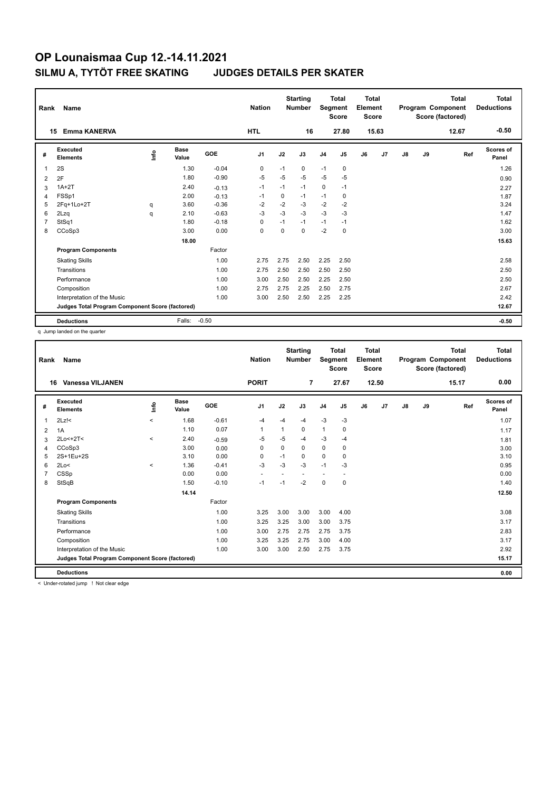| Rank           | Name                                            |      |                      |            | <b>Nation</b>  |             | <b>Starting</b><br><b>Number</b> | Segment        | <b>Total</b><br><b>Score</b> | Total<br>Element<br><b>Score</b> |       |    |    | <b>Total</b><br>Program Component<br>Score (factored) | <b>Total</b><br><b>Deductions</b> |
|----------------|-------------------------------------------------|------|----------------------|------------|----------------|-------------|----------------------------------|----------------|------------------------------|----------------------------------|-------|----|----|-------------------------------------------------------|-----------------------------------|
|                | <b>Emma KANERVA</b><br>15                       |      |                      |            | <b>HTL</b>     |             | 16                               |                | 27.80                        |                                  | 15.63 |    |    | 12.67                                                 | $-0.50$                           |
| #              | Executed<br><b>Elements</b>                     | ١nf٥ | <b>Base</b><br>Value | <b>GOE</b> | J <sub>1</sub> | J2          | J3                               | J <sub>4</sub> | J5                           | J6                               | J7    | J8 | J9 | Ref                                                   | <b>Scores of</b><br>Panel         |
| 1              | 2S                                              |      | 1.30                 | $-0.04$    | 0              | $-1$        | 0                                | $-1$           | $\mathbf 0$                  |                                  |       |    |    |                                                       | 1.26                              |
| 2              | 2F                                              |      | 1.80                 | $-0.90$    | $-5$           | $-5$        | $-5$                             | $-5$           | $-5$                         |                                  |       |    |    |                                                       | 0.90                              |
| 3              | $1A+2T$                                         |      | 2.40                 | $-0.13$    | $-1$           | $-1$        | $-1$                             | $\mathbf 0$    | $-1$                         |                                  |       |    |    |                                                       | 2.27                              |
| 4              | FSSp1                                           |      | 2.00                 | $-0.13$    | $-1$           | 0           | $-1$                             | $-1$           | 0                            |                                  |       |    |    |                                                       | 1.87                              |
| 5              | 2Fq+1Lo+2T                                      | q    | 3.60                 | $-0.36$    | $-2$           | $-2$        | $-3$                             | $-2$           | $-2$                         |                                  |       |    |    |                                                       | 3.24                              |
| 6              | 2Lzq                                            | q    | 2.10                 | $-0.63$    | $-3$           | $-3$        | $-3$                             | $-3$           | $-3$                         |                                  |       |    |    |                                                       | 1.47                              |
| $\overline{7}$ | StSq1                                           |      | 1.80                 | $-0.18$    | 0              | $-1$        | $-1$                             | $-1$           | $-1$                         |                                  |       |    |    |                                                       | 1.62                              |
| 8              | CCoSp3                                          |      | 3.00                 | 0.00       | 0              | $\mathbf 0$ | $\Omega$                         | $-2$           | $\mathbf 0$                  |                                  |       |    |    |                                                       | 3.00                              |
|                |                                                 |      | 18.00                |            |                |             |                                  |                |                              |                                  |       |    |    |                                                       | 15.63                             |
|                | <b>Program Components</b>                       |      |                      | Factor     |                |             |                                  |                |                              |                                  |       |    |    |                                                       |                                   |
|                | <b>Skating Skills</b>                           |      |                      | 1.00       | 2.75           | 2.75        | 2.50                             | 2.25           | 2.50                         |                                  |       |    |    |                                                       | 2.58                              |
|                | Transitions                                     |      |                      | 1.00       | 2.75           | 2.50        | 2.50                             | 2.50           | 2.50                         |                                  |       |    |    |                                                       | 2.50                              |
|                | Performance                                     |      |                      | 1.00       | 3.00           | 2.50        | 2.50                             | 2.25           | 2.50                         |                                  |       |    |    |                                                       | 2.50                              |
|                | Composition                                     |      |                      | 1.00       | 2.75           | 2.75        | 2.25                             | 2.50           | 2.75                         |                                  |       |    |    |                                                       | 2.67                              |
|                | Interpretation of the Music                     |      |                      | 1.00       | 3.00           | 2.50        | 2.50                             | 2.25           | 2.25                         |                                  |       |    |    |                                                       | 2.42                              |
|                | Judges Total Program Component Score (factored) |      |                      |            |                |             |                                  |                |                              |                                  |       |    |    |                                                       | 12.67                             |
|                | <b>Deductions</b>                               |      | Falls:               | $-0.50$    |                |             |                                  |                |                              |                                  |       |    |    |                                                       | $-0.50$                           |

q Jump landed on the quarter

| Rank | Name                                            |          |                      |         | <b>Nation</b>            |          | <b>Starting</b><br><b>Number</b> | Segment        | <b>Total</b><br><b>Score</b> | Total<br>Element<br><b>Score</b> |       |               |    | <b>Total</b><br>Program Component<br>Score (factored) | <b>Total</b><br><b>Deductions</b> |
|------|-------------------------------------------------|----------|----------------------|---------|--------------------------|----------|----------------------------------|----------------|------------------------------|----------------------------------|-------|---------------|----|-------------------------------------------------------|-----------------------------------|
| 16   | Vanessa VILJANEN                                |          |                      |         | <b>PORIT</b>             |          | 7                                |                | 27.67                        |                                  | 12.50 |               |    | 15.17                                                 | 0.00                              |
| #    | Executed<br><b>Elements</b>                     | Linfo    | <b>Base</b><br>Value | GOE     | J1                       | J2       | J3                               | J <sub>4</sub> | J5                           | J6                               | J7    | $\mathsf{J}8$ | J9 | Ref                                                   | <b>Scores of</b><br>Panel         |
| 1    | $2Lz$ !<                                        | $\prec$  | 1.68                 | $-0.61$ | -4                       | $-4$     | $-4$                             | $-3$           | $-3$                         |                                  |       |               |    |                                                       | 1.07                              |
| 2    | 1A                                              |          | 1.10                 | 0.07    | $\mathbf{1}$             | 1        | 0                                | $\mathbf{1}$   | 0                            |                                  |       |               |    |                                                       | 1.17                              |
| 3    | $2Lo < +2T <$                                   | $\prec$  | 2.40                 | $-0.59$ | $-5$                     | $-5$     | $-4$                             | $-3$           | $-4$                         |                                  |       |               |    |                                                       | 1.81                              |
| 4    | CCoSp3                                          |          | 3.00                 | 0.00    | 0                        | $\Omega$ | 0                                | $\mathbf 0$    | 0                            |                                  |       |               |    |                                                       | 3.00                              |
| 5    | 2S+1Eu+2S                                       |          | 3.10                 | 0.00    | $\Omega$                 | $-1$     | $\Omega$                         | $\Omega$       | $\Omega$                     |                                  |       |               |    |                                                       | 3.10                              |
| 6    | 2Lo<                                            | $\hat{}$ | 1.36                 | $-0.41$ | $-3$                     | $-3$     | $-3$                             | $-1$           | $-3$                         |                                  |       |               |    |                                                       | 0.95                              |
| 7    | CSSp                                            |          | 0.00                 | 0.00    | $\overline{\phantom{a}}$ |          |                                  | ÷              |                              |                                  |       |               |    |                                                       | 0.00                              |
| 8    | StSqB                                           |          | 1.50                 | $-0.10$ | $-1$                     | $-1$     | $-2$                             | $\Omega$       | $\mathbf 0$                  |                                  |       |               |    |                                                       | 1.40                              |
|      |                                                 |          | 14.14                |         |                          |          |                                  |                |                              |                                  |       |               |    |                                                       | 12.50                             |
|      | <b>Program Components</b>                       |          |                      | Factor  |                          |          |                                  |                |                              |                                  |       |               |    |                                                       |                                   |
|      | <b>Skating Skills</b>                           |          |                      | 1.00    | 3.25                     | 3.00     | 3.00                             | 3.00           | 4.00                         |                                  |       |               |    |                                                       | 3.08                              |
|      | Transitions                                     |          |                      | 1.00    | 3.25                     | 3.25     | 3.00                             | 3.00           | 3.75                         |                                  |       |               |    |                                                       | 3.17                              |
|      | Performance                                     |          |                      | 1.00    | 3.00                     | 2.75     | 2.75                             | 2.75           | 3.75                         |                                  |       |               |    |                                                       | 2.83                              |
|      | Composition                                     |          |                      | 1.00    | 3.25                     | 3.25     | 2.75                             | 3.00           | 4.00                         |                                  |       |               |    |                                                       | 3.17                              |
|      | Interpretation of the Music                     |          |                      | 1.00    | 3.00                     | 3.00     | 2.50                             | 2.75           | 3.75                         |                                  |       |               |    |                                                       | 2.92                              |
|      | Judges Total Program Component Score (factored) |          |                      |         |                          |          |                                  |                |                              |                                  |       |               |    |                                                       | 15.17                             |
|      | <b>Deductions</b>                               |          |                      |         |                          |          |                                  |                |                              |                                  |       |               |    |                                                       | 0.00                              |

< Under-rotated jump ! Not clear edge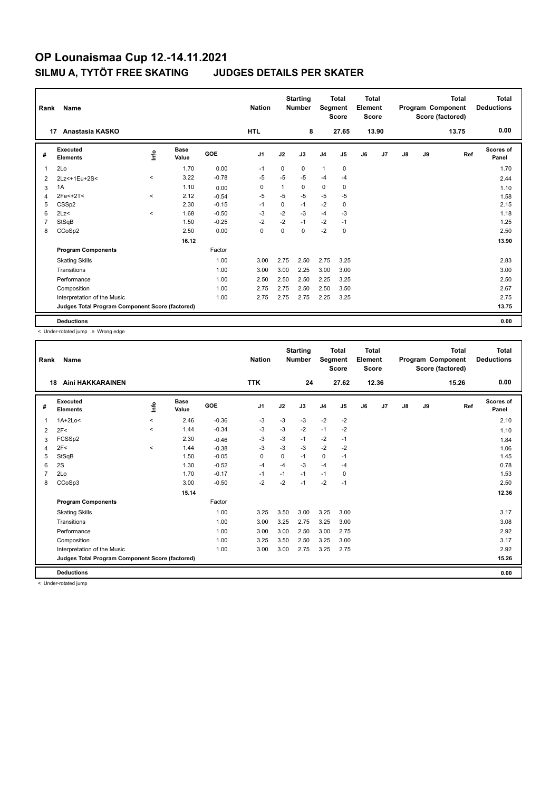| Rank | Name<br>17                                      |         |                      |         | <b>Nation</b>  |      | <b>Starting</b><br><b>Number</b> |                | <b>Total</b><br>Segment<br><b>Score</b> | <b>Total</b><br>Element<br><b>Score</b> |       |    |    | <b>Total</b><br>Program Component<br>Score (factored) | <b>Total</b><br><b>Deductions</b> |
|------|-------------------------------------------------|---------|----------------------|---------|----------------|------|----------------------------------|----------------|-----------------------------------------|-----------------------------------------|-------|----|----|-------------------------------------------------------|-----------------------------------|
|      | Anastasia KASKO                                 |         |                      |         | <b>HTL</b>     |      | 8                                |                | 27.65                                   |                                         | 13.90 |    |    | 13.75                                                 | 0.00                              |
| #    | Executed<br><b>Elements</b>                     | lnfo    | <b>Base</b><br>Value | GOE     | J <sub>1</sub> | J2   | J3                               | J <sub>4</sub> | J <sub>5</sub>                          | J6                                      | J7    | J8 | J9 | Ref                                                   | Scores of<br>Panel                |
| 1    | 2Lo                                             |         | 1.70                 | 0.00    | $-1$           | 0    | 0                                | $\mathbf{1}$   | $\mathbf 0$                             |                                         |       |    |    |                                                       | 1.70                              |
| 2    | 2Lz<+1Eu+2S<                                    | $\prec$ | 3.22                 | $-0.78$ | -5             | $-5$ | $-5$                             | $-4$           | $-4$                                    |                                         |       |    |    |                                                       | 2.44                              |
| 3    | 1A                                              |         | 1.10                 | 0.00    | 0              | 1    | $\Omega$                         | 0              | 0                                       |                                         |       |    |    |                                                       | 1.10                              |
| 4    | $2Fe+2T5$                                       | $\,<\,$ | 2.12                 | $-0.54$ | $-5$           | $-5$ | $-5$                             | $-5$           | $-5$                                    |                                         |       |    |    |                                                       | 1.58                              |
| 5    | CSS <sub>p2</sub>                               |         | 2.30                 | $-0.15$ | $-1$           | 0    | $-1$                             | $-2$           | $\mathbf 0$                             |                                         |       |    |    |                                                       | 2.15                              |
| 6    | 2Lz<                                            | $\prec$ | 1.68                 | $-0.50$ | -3             | $-2$ | $-3$                             | $-4$           | $-3$                                    |                                         |       |    |    |                                                       | 1.18                              |
|      | StSqB                                           |         | 1.50                 | $-0.25$ | $-2$           | $-2$ | $-1$                             | $-2$           | $-1$                                    |                                         |       |    |    |                                                       | 1.25                              |
| 8    | CCoSp2                                          |         | 2.50                 | 0.00    | $\mathbf 0$    | 0    | $\Omega$                         | $-2$           | $\mathbf 0$                             |                                         |       |    |    |                                                       | 2.50                              |
|      |                                                 |         | 16.12                |         |                |      |                                  |                |                                         |                                         |       |    |    |                                                       | 13.90                             |
|      | <b>Program Components</b>                       |         |                      | Factor  |                |      |                                  |                |                                         |                                         |       |    |    |                                                       |                                   |
|      | <b>Skating Skills</b>                           |         |                      | 1.00    | 3.00           | 2.75 | 2.50                             | 2.75           | 3.25                                    |                                         |       |    |    |                                                       | 2.83                              |
|      | Transitions                                     |         |                      | 1.00    | 3.00           | 3.00 | 2.25                             | 3.00           | 3.00                                    |                                         |       |    |    |                                                       | 3.00                              |
|      | Performance                                     |         |                      | 1.00    | 2.50           | 2.50 | 2.50                             | 2.25           | 3.25                                    |                                         |       |    |    |                                                       | 2.50                              |
|      | Composition                                     |         |                      | 1.00    | 2.75           | 2.75 | 2.50                             | 2.50           | 3.50                                    |                                         |       |    |    |                                                       | 2.67                              |
|      | Interpretation of the Music                     |         |                      | 1.00    | 2.75           | 2.75 | 2.75                             | 2.25           | 3.25                                    |                                         |       |    |    |                                                       | 2.75                              |
|      | Judges Total Program Component Score (factored) |         |                      |         |                |      |                                  |                |                                         |                                         |       |    |    |                                                       | 13.75                             |
|      | <b>Deductions</b>                               |         |                      |         |                |      |                                  |                |                                         |                                         |       |    |    |                                                       | 0.00                              |

< Under-rotated jump e Wrong edge

| Rank           | Name                                            |          |                      |         | <b>Nation</b>  |          | <b>Starting</b><br><b>Number</b> | Segment        | <b>Total</b><br><b>Score</b> | <b>Total</b><br>Element<br><b>Score</b> |                |               |    | <b>Total</b><br>Program Component<br>Score (factored) | <b>Total</b><br><b>Deductions</b> |
|----------------|-------------------------------------------------|----------|----------------------|---------|----------------|----------|----------------------------------|----------------|------------------------------|-----------------------------------------|----------------|---------------|----|-------------------------------------------------------|-----------------------------------|
|                | Aini HAKKARAINEN<br>18                          |          |                      |         | <b>TTK</b>     |          | 24                               |                | 27.62                        |                                         | 12.36          |               |    | 15.26                                                 | 0.00                              |
| #              | Executed<br><b>Elements</b>                     | lnfo     | <b>Base</b><br>Value | GOE     | J <sub>1</sub> | J2       | J3                               | J <sub>4</sub> | J5                           | J6                                      | J <sub>7</sub> | $\mathsf{J}8$ | J9 | Ref                                                   | <b>Scores of</b><br>Panel         |
| 1              | $1A+2Lo<$                                       | $\hat{}$ | 2.46                 | $-0.36$ | -3             | $-3$     | $-3$                             | $-2$           | $-2$                         |                                         |                |               |    |                                                       | 2.10                              |
| 2              | 2F<                                             | $\hat{}$ | 1.44                 | $-0.34$ | -3             | -3       | $-2$                             | $-1$           | -2                           |                                         |                |               |    |                                                       | 1.10                              |
| 3              | FCSS <sub>p2</sub>                              |          | 2.30                 | $-0.46$ | -3             | $-3$     | $-1$                             | $-2$           | $-1$                         |                                         |                |               |    |                                                       | 1.84                              |
|                | 2F<                                             | $\prec$  | 1.44                 | $-0.38$ | -3             | -3       | $-3$                             | $-2$           | $-2$                         |                                         |                |               |    |                                                       | 1.06                              |
| 5              | StSqB                                           |          | 1.50                 | $-0.05$ | 0              | $\Omega$ | $-1$                             | 0              | $-1$                         |                                         |                |               |    |                                                       | 1.45                              |
| 6              | 2S                                              |          | 1.30                 | $-0.52$ | $-4$           | $-4$     | $-3$                             | $-4$           | $-4$                         |                                         |                |               |    |                                                       | 0.78                              |
| $\overline{7}$ | 2Lo                                             |          | 1.70                 | $-0.17$ | $-1$           | $-1$     | $-1$                             | $-1$           | 0                            |                                         |                |               |    |                                                       | 1.53                              |
| 8              | CCoSp3                                          |          | 3.00                 | $-0.50$ | $-2$           | $-2$     | $-1$                             | $-2$           | $-1$                         |                                         |                |               |    |                                                       | 2.50                              |
|                |                                                 |          | 15.14                |         |                |          |                                  |                |                              |                                         |                |               |    |                                                       | 12.36                             |
|                | <b>Program Components</b>                       |          |                      | Factor  |                |          |                                  |                |                              |                                         |                |               |    |                                                       |                                   |
|                | <b>Skating Skills</b>                           |          |                      | 1.00    | 3.25           | 3.50     | 3.00                             | 3.25           | 3.00                         |                                         |                |               |    |                                                       | 3.17                              |
|                | Transitions                                     |          |                      | 1.00    | 3.00           | 3.25     | 2.75                             | 3.25           | 3.00                         |                                         |                |               |    |                                                       | 3.08                              |
|                | Performance                                     |          |                      | 1.00    | 3.00           | 3.00     | 2.50                             | 3.00           | 2.75                         |                                         |                |               |    |                                                       | 2.92                              |
|                | Composition                                     |          |                      | 1.00    | 3.25           | 3.50     | 2.50                             | 3.25           | 3.00                         |                                         |                |               |    |                                                       | 3.17                              |
|                | Interpretation of the Music                     |          |                      | 1.00    | 3.00           | 3.00     | 2.75                             | 3.25           | 2.75                         |                                         |                |               |    |                                                       | 2.92                              |
|                | Judges Total Program Component Score (factored) |          |                      |         |                |          |                                  |                |                              |                                         |                |               |    |                                                       | 15.26                             |
|                | <b>Deductions</b>                               |          |                      |         |                |          |                                  |                |                              |                                         |                |               |    |                                                       | 0.00                              |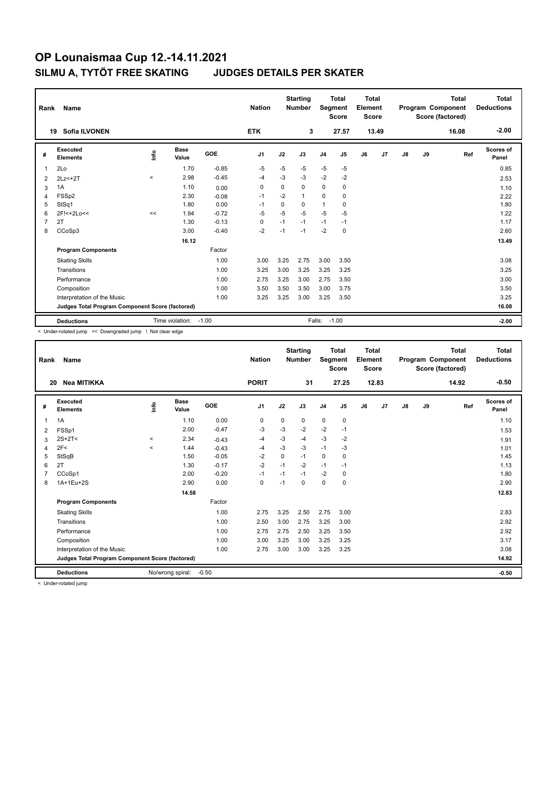| Rank           | Name                                            | <b>Nation</b> |                      | <b>Starting</b><br><b>Number</b> | Segment        | <b>Total</b><br><b>Score</b> | <b>Total</b><br>Element<br><b>Score</b> |                |                |    | <b>Total</b><br>Program Component<br>Score (factored) | <b>Total</b><br><b>Deductions</b> |    |       |                    |
|----------------|-------------------------------------------------|---------------|----------------------|----------------------------------|----------------|------------------------------|-----------------------------------------|----------------|----------------|----|-------------------------------------------------------|-----------------------------------|----|-------|--------------------|
|                | <b>Sofia ILVONEN</b><br>19                      |               |                      |                                  | <b>ETK</b>     |                              | 3                                       |                | 27.57          |    | 13.49                                                 |                                   |    | 16.08 | $-2.00$            |
| #              | Executed<br><b>Elements</b>                     | ١nf٥          | <b>Base</b><br>Value | GOE                              | J <sub>1</sub> | J2                           | J3                                      | J <sub>4</sub> | J <sub>5</sub> | J6 | J <sub>7</sub>                                        | J8                                | J9 | Ref   | Scores of<br>Panel |
| $\overline{1}$ | 2Lo                                             |               | 1.70                 | $-0.85$                          | $-5$           | $-5$                         | $-5$                                    | $-5$           | $-5$           |    |                                                       |                                   |    |       | 0.85               |
| $\overline{2}$ | $2Lz<+2T$                                       | $\prec$       | 2.98                 | $-0.45$                          | $-4$           | $-3$                         | $-3$                                    | $-2$           | $-2$           |    |                                                       |                                   |    |       | 2.53               |
| 3              | 1A                                              |               | 1.10                 | 0.00                             | 0              | $\Omega$                     | $\Omega$                                | $\mathbf 0$    | 0              |    |                                                       |                                   |    |       | 1.10               |
| 4              | FSSp2                                           |               | 2.30                 | $-0.08$                          | $-1$           | $-2$                         | $\mathbf{1}$                            | 0              | 0              |    |                                                       |                                   |    |       | 2.22               |
| 5              | StSq1                                           |               | 1.80                 | 0.00                             | $-1$           | $\Omega$                     | $\Omega$                                | $\mathbf{1}$   | 0              |    |                                                       |                                   |    |       | 1.80               |
| 6              | 2F!<+2Lo<<                                      | <<            | 1.94                 | $-0.72$                          | $-5$           | $-5$                         | $-5$                                    | $-5$           | $-5$           |    |                                                       |                                   |    |       | 1.22               |
| $\overline{7}$ | 2T                                              |               | 1.30                 | $-0.13$                          | $\mathbf 0$    | $-1$                         | $-1$                                    | $-1$           | $-1$           |    |                                                       |                                   |    |       | 1.17               |
| 8              | CCoSp3                                          |               | 3.00                 | $-0.40$                          | $-2$           | $-1$                         | $-1$                                    | $-2$           | $\mathbf 0$    |    |                                                       |                                   |    |       | 2.60               |
|                |                                                 |               | 16.12                |                                  |                |                              |                                         |                |                |    |                                                       |                                   |    |       | 13.49              |
|                | <b>Program Components</b>                       |               |                      | Factor                           |                |                              |                                         |                |                |    |                                                       |                                   |    |       |                    |
|                | <b>Skating Skills</b>                           |               |                      | 1.00                             | 3.00           | 3.25                         | 2.75                                    | 3.00           | 3.50           |    |                                                       |                                   |    |       | 3.08               |
|                | Transitions                                     |               |                      | 1.00                             | 3.25           | 3.00                         | 3.25                                    | 3.25           | 3.25           |    |                                                       |                                   |    |       | 3.25               |
|                | Performance                                     |               |                      | 1.00                             | 2.75           | 3.25                         | 3.00                                    | 2.75           | 3.50           |    |                                                       |                                   |    |       | 3.00               |
|                | Composition                                     |               |                      | 1.00                             | 3.50           | 3.50                         | 3.50                                    | 3.00           | 3.75           |    |                                                       |                                   |    |       | 3.50               |
|                | Interpretation of the Music                     |               |                      | 1.00                             | 3.25           | 3.25                         | 3.00                                    | 3.25           | 3.50           |    |                                                       |                                   |    |       | 3.25               |
|                | Judges Total Program Component Score (factored) |               |                      |                                  |                |                              |                                         |                |                |    |                                                       |                                   |    |       | 16.08              |
|                | <b>Deductions</b>                               |               | Time violation:      | $-1.00$                          |                |                              |                                         | Falls:         | $-1.00$        |    |                                                       |                                   |    |       | $-2.00$            |

< Under-rotated jump << Downgraded jump ! Not clear edge

| Rank           | Name                                            |             |                      |         | <b>Nation</b>  |             | <b>Starting</b><br><b>Number</b> | Segment        | <b>Total</b><br><b>Score</b> | <b>Total</b><br>Element<br><b>Score</b> |       |               |    | <b>Total</b><br>Program Component<br>Score (factored) | <b>Total</b><br><b>Deductions</b> |
|----------------|-------------------------------------------------|-------------|----------------------|---------|----------------|-------------|----------------------------------|----------------|------------------------------|-----------------------------------------|-------|---------------|----|-------------------------------------------------------|-----------------------------------|
| 20             | Nea MITIKKA                                     |             |                      |         | <b>PORIT</b>   |             | 31                               |                | 27.25                        |                                         | 12.83 |               |    | 14.92                                                 | $-0.50$                           |
| #              | Executed<br><b>Elements</b>                     | <u>lnfo</u> | <b>Base</b><br>Value | GOE     | J <sub>1</sub> | J2          | J3                               | J <sub>4</sub> | J5                           | J6                                      | J7    | $\mathsf{J}8$ | J9 | Ref                                                   | <b>Scores of</b><br>Panel         |
| 1              | 1A                                              |             | 1.10                 | 0.00    | 0              | $\mathbf 0$ | 0                                | $\mathbf 0$    | $\mathbf 0$                  |                                         |       |               |    |                                                       | 1.10                              |
| 2              | FSSp1                                           |             | 2.00                 | $-0.47$ | -3             | $-3$        | $-2$                             | $-2$           | $-1$                         |                                         |       |               |    |                                                       | 1.53                              |
| 3              | $2S+2T<$                                        | $\prec$     | 2.34                 | $-0.43$ | $-4$           | $-3$        | $-4$                             | $-3$           | $-2$                         |                                         |       |               |    |                                                       | 1.91                              |
| 4              | 2F<                                             | $\prec$     | 1.44                 | $-0.43$ | $-4$           | $-3$        | $-3$                             | $-1$           | $-3$                         |                                         |       |               |    |                                                       | 1.01                              |
| 5              | StSqB                                           |             | 1.50                 | $-0.05$ | $-2$           | $\mathbf 0$ | $-1$                             | 0              | 0                            |                                         |       |               |    |                                                       | 1.45                              |
| 6              | 2T                                              |             | 1.30                 | $-0.17$ | $-2$           | $-1$        | $-2$                             | $-1$           | $-1$                         |                                         |       |               |    |                                                       | 1.13                              |
| $\overline{7}$ | CCoSp1                                          |             | 2.00                 | $-0.20$ | $-1$           | $-1$        | $-1$                             | $-2$           | $\mathbf 0$                  |                                         |       |               |    |                                                       | 1.80                              |
| 8              | 1A+1Eu+2S                                       |             | 2.90                 | 0.00    | $\mathbf 0$    | $-1$        | $\Omega$                         | $\mathbf 0$    | $\mathbf 0$                  |                                         |       |               |    |                                                       | 2.90                              |
|                |                                                 |             | 14.58                |         |                |             |                                  |                |                              |                                         |       |               |    |                                                       | 12.83                             |
|                | <b>Program Components</b>                       |             |                      | Factor  |                |             |                                  |                |                              |                                         |       |               |    |                                                       |                                   |
|                | <b>Skating Skills</b>                           |             |                      | 1.00    | 2.75           | 3.25        | 2.50                             | 2.75           | 3.00                         |                                         |       |               |    |                                                       | 2.83                              |
|                | Transitions                                     |             |                      | 1.00    | 2.50           | 3.00        | 2.75                             | 3.25           | 3.00                         |                                         |       |               |    |                                                       | 2.92                              |
|                | Performance                                     |             |                      | 1.00    | 2.75           | 2.75        | 2.50                             | 3.25           | 3.50                         |                                         |       |               |    |                                                       | 2.92                              |
|                | Composition                                     |             |                      | 1.00    | 3.00           | 3.25        | 3.00                             | 3.25           | 3.25                         |                                         |       |               |    |                                                       | 3.17                              |
|                | Interpretation of the Music                     |             |                      | 1.00    | 2.75           | 3.00        | 3.00                             | 3.25           | 3.25                         |                                         |       |               |    |                                                       | 3.08                              |
|                | Judges Total Program Component Score (factored) |             |                      |         |                |             |                                  |                |                              |                                         |       |               |    |                                                       | 14.92                             |
|                | <b>Deductions</b>                               |             | No/wrong spiral:     | $-0.50$ |                |             |                                  |                |                              |                                         |       |               |    |                                                       | $-0.50$                           |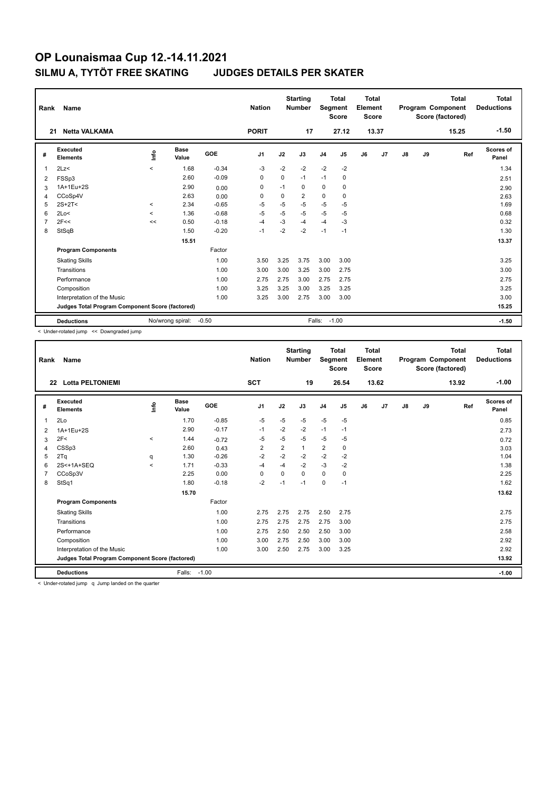| Rank | Name                                            |                          |                      |         | <b>Nation</b>  |      | <b>Starting</b><br><b>Number</b> | <b>Segment</b> | <b>Total</b><br><b>Score</b> | <b>Total</b><br>Element<br><b>Score</b> |       |               |    | <b>Total</b><br>Program Component<br>Score (factored) | <b>Total</b><br><b>Deductions</b> |
|------|-------------------------------------------------|--------------------------|----------------------|---------|----------------|------|----------------------------------|----------------|------------------------------|-----------------------------------------|-------|---------------|----|-------------------------------------------------------|-----------------------------------|
| 21   | <b>Netta VALKAMA</b>                            |                          |                      |         | <b>PORIT</b>   |      | 17                               |                | 27.12                        |                                         | 13.37 |               |    | 15.25                                                 | $-1.50$                           |
| #    | Executed<br><b>Elements</b>                     | ١nf٥                     | <b>Base</b><br>Value | GOE     | J <sub>1</sub> | J2   | J3                               | J <sub>4</sub> | J5                           | J6                                      | J7    | $\mathsf{J}8$ | J9 | Ref                                                   | Scores of<br>Panel                |
| 1    | 2Lz                                             | $\overline{\phantom{a}}$ | 1.68                 | $-0.34$ | $-3$           | $-2$ | $-2$                             | $-2$           | $-2$                         |                                         |       |               |    |                                                       | 1.34                              |
| 2    | FSSp3                                           |                          | 2.60                 | $-0.09$ | 0              | 0    | $-1$                             | $-1$           | 0                            |                                         |       |               |    |                                                       | 2.51                              |
| 3    | 1A+1Eu+2S                                       |                          | 2.90                 | 0.00    | 0              | $-1$ | 0                                | $\mathbf 0$    | 0                            |                                         |       |               |    |                                                       | 2.90                              |
| 4    | CCoSp4V                                         |                          | 2.63                 | 0.00    | 0              | 0    | 2                                | 0              | 0                            |                                         |       |               |    |                                                       | 2.63                              |
| 5    | $2S+2T<$                                        | $\,<$                    | 2.34                 | $-0.65$ | $-5$           | $-5$ | $-5$                             | $-5$           | $-5$                         |                                         |       |               |    |                                                       | 1.69                              |
| 6    | 2Lo<                                            | $\checkmark$             | 1.36                 | $-0.68$ | $-5$           | $-5$ | $-5$                             | $-5$           | $-5$                         |                                         |       |               |    |                                                       | 0.68                              |
| 7    | 2F<<                                            | <<                       | 0.50                 | $-0.18$ | $-4$           | -3   | $-4$                             | $-4$           | $-3$                         |                                         |       |               |    |                                                       | 0.32                              |
| 8    | StSqB                                           |                          | 1.50                 | $-0.20$ | $-1$           | $-2$ | $-2$                             | $-1$           | $-1$                         |                                         |       |               |    |                                                       | 1.30                              |
|      |                                                 |                          | 15.51                |         |                |      |                                  |                |                              |                                         |       |               |    |                                                       | 13.37                             |
|      | <b>Program Components</b>                       |                          |                      | Factor  |                |      |                                  |                |                              |                                         |       |               |    |                                                       |                                   |
|      | <b>Skating Skills</b>                           |                          |                      | 1.00    | 3.50           | 3.25 | 3.75                             | 3.00           | 3.00                         |                                         |       |               |    |                                                       | 3.25                              |
|      | Transitions                                     |                          |                      | 1.00    | 3.00           | 3.00 | 3.25                             | 3.00           | 2.75                         |                                         |       |               |    |                                                       | 3.00                              |
|      | Performance                                     |                          |                      | 1.00    | 2.75           | 2.75 | 3.00                             | 2.75           | 2.75                         |                                         |       |               |    |                                                       | 2.75                              |
|      | Composition                                     |                          |                      | 1.00    | 3.25           | 3.25 | 3.00                             | 3.25           | 3.25                         |                                         |       |               |    |                                                       | 3.25                              |
|      | Interpretation of the Music                     |                          |                      | 1.00    | 3.25           | 3.00 | 2.75                             | 3.00           | 3.00                         |                                         |       |               |    |                                                       | 3.00                              |
|      | Judges Total Program Component Score (factored) |                          |                      |         |                |      |                                  |                |                              |                                         |       |               |    |                                                       | 15.25                             |
|      | <b>Deductions</b>                               |                          | No/wrong spiral:     | $-0.50$ |                |      |                                  | Falls:         | $-1.00$                      |                                         |       |               |    |                                                       | $-1.50$                           |

< Under-rotated jump << Downgraded jump

| Rank | Name                                            |         |                      |         | <b>Nation</b>  |                | <b>Starting</b><br><b>Number</b> | Segment        | <b>Total</b><br><b>Score</b> | <b>Total</b><br>Element<br>Score |       |               |    | <b>Total</b><br>Program Component<br>Score (factored) | <b>Total</b><br><b>Deductions</b> |
|------|-------------------------------------------------|---------|----------------------|---------|----------------|----------------|----------------------------------|----------------|------------------------------|----------------------------------|-------|---------------|----|-------------------------------------------------------|-----------------------------------|
|      | <b>Lotta PELTONIEMI</b><br>22                   |         |                      |         | <b>SCT</b>     |                | 19                               |                | 26.54                        |                                  | 13.62 |               |    | 13.92                                                 | $-1.00$                           |
| #    | Executed<br><b>Elements</b>                     | ١nf٥    | <b>Base</b><br>Value | GOE     | J1             | J2             | J3                               | J <sub>4</sub> | J5                           | J6                               | J7    | $\mathsf{J}8$ | J9 | Ref                                                   | <b>Scores of</b><br>Panel         |
| 1    | 2Lo                                             |         | 1.70                 | $-0.85$ | -5             | $-5$           | $-5$                             | $-5$           | -5                           |                                  |       |               |    |                                                       | 0.85                              |
| 2    | 1A+1Eu+2S                                       |         | 2.90                 | $-0.17$ | $-1$           | $-2$           | $-2$                             | $-1$           | $-1$                         |                                  |       |               |    |                                                       | 2.73                              |
| 3    | 2F<                                             | $\,<$   | 1.44                 | $-0.72$ | -5             | -5             | -5                               | -5             | -5                           |                                  |       |               |    |                                                       | 0.72                              |
| 4    | CSSp3                                           |         | 2.60                 | 0.43    | $\overline{2}$ | $\overline{2}$ | $\mathbf{1}$                     | $\overline{2}$ | 0                            |                                  |       |               |    |                                                       | 3.03                              |
| 5    | 2Tq                                             | q       | 1.30                 | $-0.26$ | $-2$           | $-2$           | $-2$                             | $-2$           | $-2$                         |                                  |       |               |    |                                                       | 1.04                              |
| 6    | 2S<+1A+SEQ                                      | $\prec$ | 1.71                 | $-0.33$ | $-4$           | $-4$           | $-2$                             | $-3$           | $-2$                         |                                  |       |               |    |                                                       | 1.38                              |
|      | CCoSp3V                                         |         | 2.25                 | 0.00    | 0              | $\Omega$       | 0                                | $\mathbf 0$    | 0                            |                                  |       |               |    |                                                       | 2.25                              |
| 8    | StSq1                                           |         | 1.80                 | $-0.18$ | $-2$           | $-1$           | $-1$                             | $\mathbf 0$    | $-1$                         |                                  |       |               |    |                                                       | 1.62                              |
|      |                                                 |         | 15.70                |         |                |                |                                  |                |                              |                                  |       |               |    |                                                       | 13.62                             |
|      | <b>Program Components</b>                       |         |                      | Factor  |                |                |                                  |                |                              |                                  |       |               |    |                                                       |                                   |
|      | <b>Skating Skills</b>                           |         |                      | 1.00    | 2.75           | 2.75           | 2.75                             | 2.50           | 2.75                         |                                  |       |               |    |                                                       | 2.75                              |
|      | Transitions                                     |         |                      | 1.00    | 2.75           | 2.75           | 2.75                             | 2.75           | 3.00                         |                                  |       |               |    |                                                       | 2.75                              |
|      | Performance                                     |         |                      | 1.00    | 2.75           | 2.50           | 2.50                             | 2.50           | 3.00                         |                                  |       |               |    |                                                       | 2.58                              |
|      | Composition                                     |         |                      | 1.00    | 3.00           | 2.75           | 2.50                             | 3.00           | 3.00                         |                                  |       |               |    |                                                       | 2.92                              |
|      | Interpretation of the Music                     |         |                      | 1.00    | 3.00           | 2.50           | 2.75                             | 3.00           | 3.25                         |                                  |       |               |    |                                                       | 2.92                              |
|      | Judges Total Program Component Score (factored) |         |                      |         |                |                |                                  |                |                              |                                  |       |               |    |                                                       | 13.92                             |
|      | <b>Deductions</b>                               |         | Falls:               | $-1.00$ |                |                |                                  |                |                              |                                  |       |               |    |                                                       | $-1.00$                           |

< Under-rotated jump q Jump landed on the quarter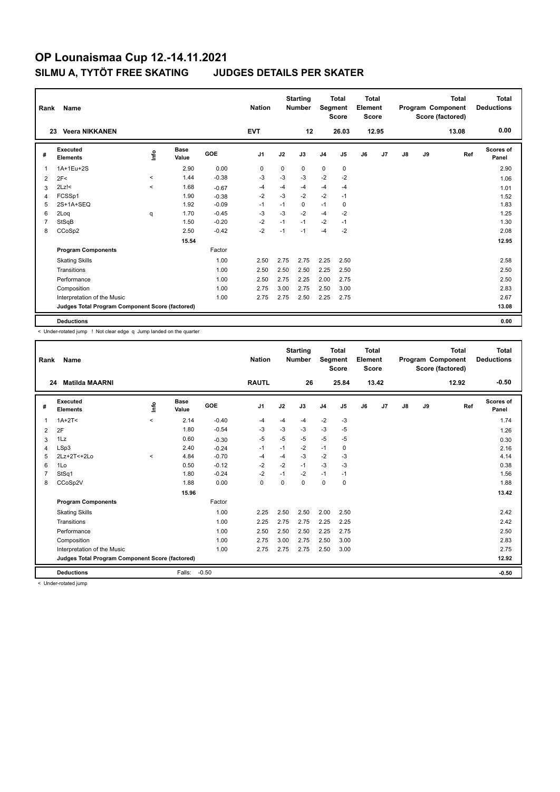| Rank           | Name                                            |         |                      |            | <b>Nation</b>  |             | <b>Starting</b><br><b>Number</b> | Segment        | <b>Total</b><br><b>Score</b> | <b>Total</b><br>Element<br><b>Score</b> |       |    |    | <b>Total</b><br>Program Component<br>Score (factored) | Total<br><b>Deductions</b> |
|----------------|-------------------------------------------------|---------|----------------------|------------|----------------|-------------|----------------------------------|----------------|------------------------------|-----------------------------------------|-------|----|----|-------------------------------------------------------|----------------------------|
|                | <b>Veera NIKKANEN</b><br>23                     |         |                      |            | <b>EVT</b>     |             | 12                               |                | 26.03                        |                                         | 12.95 |    |    | 13.08                                                 | 0.00                       |
| #              | Executed<br><b>Elements</b>                     | lnfo    | <b>Base</b><br>Value | <b>GOE</b> | J <sub>1</sub> | J2          | J3                               | J <sub>4</sub> | J <sub>5</sub>               | J6                                      | J7    | J8 | J9 | Ref                                                   | <b>Scores of</b><br>Panel  |
| 1              | 1A+1Eu+2S                                       |         | 2.90                 | 0.00       | 0              | $\mathbf 0$ | 0                                | $\mathbf 0$    | $\mathbf 0$                  |                                         |       |    |    |                                                       | 2.90                       |
| 2              | 2F<                                             | $\,<$   | 1.44                 | $-0.38$    | $-3$           | $-3$        | $-3$                             | $-2$           | $-2$                         |                                         |       |    |    |                                                       | 1.06                       |
| 3              | $2Lz$ !<                                        | $\prec$ | 1.68                 | $-0.67$    | -4             | $-4$        | $-4$                             | $-4$           | $-4$                         |                                         |       |    |    |                                                       | 1.01                       |
| 4              | FCSSp1                                          |         | 1.90                 | $-0.38$    | $-2$           | $-3$        | $-2$                             | $-2$           | $-1$                         |                                         |       |    |    |                                                       | 1.52                       |
| 5              | 2S+1A+SEQ                                       |         | 1.92                 | $-0.09$    | $-1$           | $-1$        | 0                                | $-1$           | 0                            |                                         |       |    |    |                                                       | 1.83                       |
| 6              | 2Log                                            | q       | 1.70                 | $-0.45$    | -3             | $-3$        | $-2$                             | $-4$           | $-2$                         |                                         |       |    |    |                                                       | 1.25                       |
| $\overline{7}$ | StSqB                                           |         | 1.50                 | $-0.20$    | $-2$           | $-1$        | $-1$                             | $-2$           | $-1$                         |                                         |       |    |    |                                                       | 1.30                       |
| 8              | CCoSp2                                          |         | 2.50                 | $-0.42$    | $-2$           | $-1$        | $-1$                             | $-4$           | $-2$                         |                                         |       |    |    |                                                       | 2.08                       |
|                |                                                 |         | 15.54                |            |                |             |                                  |                |                              |                                         |       |    |    |                                                       | 12.95                      |
|                | <b>Program Components</b>                       |         |                      | Factor     |                |             |                                  |                |                              |                                         |       |    |    |                                                       |                            |
|                | <b>Skating Skills</b>                           |         |                      | 1.00       | 2.50           | 2.75        | 2.75                             | 2.25           | 2.50                         |                                         |       |    |    |                                                       | 2.58                       |
|                | Transitions                                     |         |                      | 1.00       | 2.50           | 2.50        | 2.50                             | 2.25           | 2.50                         |                                         |       |    |    |                                                       | 2.50                       |
|                | Performance                                     |         |                      | 1.00       | 2.50           | 2.75        | 2.25                             | 2.00           | 2.75                         |                                         |       |    |    |                                                       | 2.50                       |
|                | Composition                                     |         |                      | 1.00       | 2.75           | 3.00        | 2.75                             | 2.50           | 3.00                         |                                         |       |    |    |                                                       | 2.83                       |
|                | Interpretation of the Music                     |         |                      | 1.00       | 2.75           | 2.75        | 2.50                             | 2.25           | 2.75                         |                                         |       |    |    |                                                       | 2.67                       |
|                | Judges Total Program Component Score (factored) |         |                      |            |                |             |                                  |                |                              |                                         |       |    |    |                                                       | 13.08                      |
|                | <b>Deductions</b>                               |         |                      |            |                |             |                                  |                |                              |                                         |       |    |    |                                                       | 0.00                       |

< Under-rotated jump ! Not clear edge q Jump landed on the quarter

| Rank | Name                                            |         |                      |         | <b>Nation</b>  |          | <b>Starting</b><br><b>Number</b> | Segment        | Total<br><b>Score</b> | <b>Total</b><br>Element<br><b>Score</b> |                |               |    | <b>Total</b><br>Program Component<br>Score (factored) | <b>Total</b><br><b>Deductions</b> |
|------|-------------------------------------------------|---------|----------------------|---------|----------------|----------|----------------------------------|----------------|-----------------------|-----------------------------------------|----------------|---------------|----|-------------------------------------------------------|-----------------------------------|
| 24   | <b>Matilda MAARNI</b>                           |         |                      |         | <b>RAUTL</b>   |          | 26                               |                | 25.84                 |                                         | 13.42          |               |    | 12.92                                                 | $-0.50$                           |
| #    | Executed<br><b>Elements</b>                     | Linfo   | <b>Base</b><br>Value | GOE     | J <sub>1</sub> | J2       | J3                               | J <sub>4</sub> | J5                    | J6                                      | J <sub>7</sub> | $\mathsf{J}8$ | J9 | Ref                                                   | <b>Scores of</b><br>Panel         |
| 1    | $1A+2T2$                                        | $\prec$ | 2.14                 | $-0.40$ | -4             | $-4$     | $-4$                             | $-2$           | $-3$                  |                                         |                |               |    |                                                       | 1.74                              |
| 2    | 2F                                              |         | 1.80                 | $-0.54$ | $-3$           | $-3$     | $-3$                             | $-3$           | $-5$                  |                                         |                |               |    |                                                       | 1.26                              |
| 3    | 1Lz                                             |         | 0.60                 | $-0.30$ | $-5$           | $-5$     | $-5$                             | $-5$           | $-5$                  |                                         |                |               |    |                                                       | 0.30                              |
| 4    | LSp3                                            |         | 2.40                 | $-0.24$ | $-1$           | $-1$     | $-2$                             | $-1$           | 0                     |                                         |                |               |    |                                                       | 2.16                              |
| 5    | 2Lz+2T<+2Lo                                     | $\prec$ | 4.84                 | $-0.70$ | $-4$           | $-4$     | $-3$                             | $-2$           | $-3$                  |                                         |                |               |    |                                                       | 4.14                              |
| 6    | 1Lo                                             |         | 0.50                 | $-0.12$ | $-2$           | $-2$     | $-1$                             | $-3$           | $-3$                  |                                         |                |               |    |                                                       | 0.38                              |
|      | StSq1                                           |         | 1.80                 | $-0.24$ | $-2$           | $-1$     | $-2$                             | $-1$           | $-1$                  |                                         |                |               |    |                                                       | 1.56                              |
| 8    | CCoSp2V                                         |         | 1.88                 | 0.00    | 0              | $\Omega$ | 0                                | $\mathbf 0$    | 0                     |                                         |                |               |    |                                                       | 1.88                              |
|      |                                                 |         | 15.96                |         |                |          |                                  |                |                       |                                         |                |               |    |                                                       | 13.42                             |
|      | <b>Program Components</b>                       |         |                      | Factor  |                |          |                                  |                |                       |                                         |                |               |    |                                                       |                                   |
|      | <b>Skating Skills</b>                           |         |                      | 1.00    | 2.25           | 2.50     | 2.50                             | 2.00           | 2.50                  |                                         |                |               |    |                                                       | 2.42                              |
|      | Transitions                                     |         |                      | 1.00    | 2.25           | 2.75     | 2.75                             | 2.25           | 2.25                  |                                         |                |               |    |                                                       | 2.42                              |
|      | Performance                                     |         |                      | 1.00    | 2.50           | 2.50     | 2.50                             | 2.25           | 2.75                  |                                         |                |               |    |                                                       | 2.50                              |
|      | Composition                                     |         |                      | 1.00    | 2.75           | 3.00     | 2.75                             | 2.50           | 3.00                  |                                         |                |               |    |                                                       | 2.83                              |
|      | Interpretation of the Music                     |         |                      | 1.00    | 2.75           | 2.75     | 2.75                             | 2.50           | 3.00                  |                                         |                |               |    |                                                       | 2.75                              |
|      | Judges Total Program Component Score (factored) |         |                      |         |                |          |                                  |                |                       |                                         |                |               |    |                                                       | 12.92                             |
|      | <b>Deductions</b>                               |         | Falls:               | $-0.50$ |                |          |                                  |                |                       |                                         |                |               |    |                                                       | $-0.50$                           |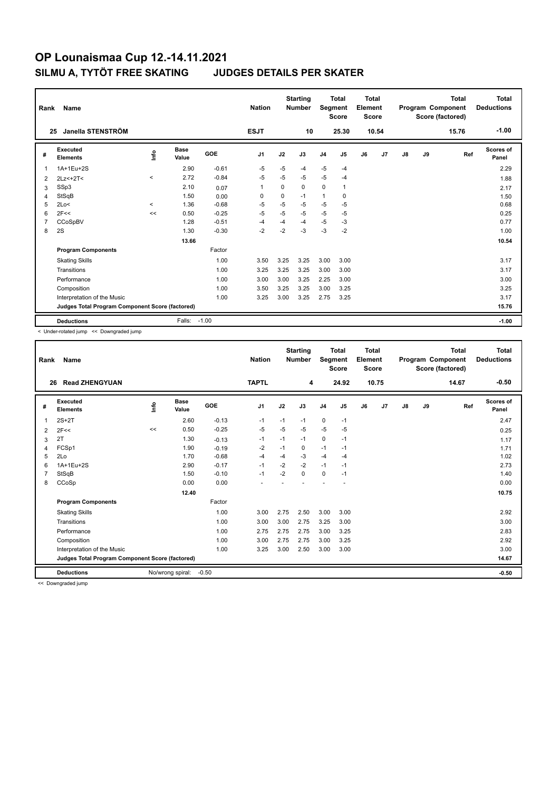| Rank           | Name                                            |         |                      |         | <b>Nation</b>  |          | <b>Starting</b><br><b>Number</b> | Segment        | <b>Total</b><br><b>Score</b> | Total<br>Element<br><b>Score</b> |       |               |    | <b>Total</b><br>Program Component<br>Score (factored) | Total<br><b>Deductions</b> |
|----------------|-------------------------------------------------|---------|----------------------|---------|----------------|----------|----------------------------------|----------------|------------------------------|----------------------------------|-------|---------------|----|-------------------------------------------------------|----------------------------|
| 25             | Janella STENSTRÖM                               |         |                      |         | <b>ESJT</b>    |          | 10                               |                | 25.30                        |                                  | 10.54 |               |    | 15.76                                                 | $-1.00$                    |
| #              | Executed<br><b>Elements</b>                     | ۴ů      | <b>Base</b><br>Value | GOE     | J <sub>1</sub> | J2       | J3                               | J <sub>4</sub> | J5                           | J6                               | J7    | $\mathsf{J}8$ | J9 | Ref                                                   | Scores of<br>Panel         |
| 1              | 1A+1Eu+2S                                       |         | 2.90                 | $-0.61$ | $-5$           | $-5$     | $-4$                             | $-5$           | $-4$                         |                                  |       |               |    |                                                       | 2.29                       |
| 2              | $2Lz<+2T<$                                      | $\,<\,$ | 2.72                 | $-0.84$ | $-5$           | $-5$     | $-5$                             | $-5$           | $-4$                         |                                  |       |               |    |                                                       | 1.88                       |
| 3              | SSp3                                            |         | 2.10                 | 0.07    | $\mathbf{1}$   | $\Omega$ | 0                                | $\mathbf 0$    | $\mathbf{1}$                 |                                  |       |               |    |                                                       | 2.17                       |
| 4              | StSqB                                           |         | 1.50                 | 0.00    | 0              | 0        | $-1$                             | $\mathbf{1}$   | 0                            |                                  |       |               |    |                                                       | 1.50                       |
| 5              | 2Lo<                                            | $\prec$ | 1.36                 | $-0.68$ | $-5$           | $-5$     | $-5$                             | $-5$           | $-5$                         |                                  |       |               |    |                                                       | 0.68                       |
| 6              | 2F<<                                            | <<      | 0.50                 | $-0.25$ | $-5$           | $-5$     | $-5$                             | $-5$           | $-5$                         |                                  |       |               |    |                                                       | 0.25                       |
| $\overline{7}$ | CCoSpBV                                         |         | 1.28                 | $-0.51$ | $-4$           | $-4$     | $-4$                             | $-5$           | $-3$                         |                                  |       |               |    |                                                       | 0.77                       |
| 8              | 2S                                              |         | 1.30                 | $-0.30$ | $-2$           | $-2$     | $-3$                             | $-3$           | $-2$                         |                                  |       |               |    |                                                       | 1.00                       |
|                |                                                 |         | 13.66                |         |                |          |                                  |                |                              |                                  |       |               |    |                                                       | 10.54                      |
|                | <b>Program Components</b>                       |         |                      | Factor  |                |          |                                  |                |                              |                                  |       |               |    |                                                       |                            |
|                | <b>Skating Skills</b>                           |         |                      | 1.00    | 3.50           | 3.25     | 3.25                             | 3.00           | 3.00                         |                                  |       |               |    |                                                       | 3.17                       |
|                | Transitions                                     |         |                      | 1.00    | 3.25           | 3.25     | 3.25                             | 3.00           | 3.00                         |                                  |       |               |    |                                                       | 3.17                       |
|                | Performance                                     |         |                      | 1.00    | 3.00           | 3.00     | 3.25                             | 2.25           | 3.00                         |                                  |       |               |    |                                                       | 3.00                       |
|                | Composition                                     |         |                      | 1.00    | 3.50           | 3.25     | 3.25                             | 3.00           | 3.25                         |                                  |       |               |    |                                                       | 3.25                       |
|                | Interpretation of the Music                     |         |                      | 1.00    | 3.25           | 3.00     | 3.25                             | 2.75           | 3.25                         |                                  |       |               |    |                                                       | 3.17                       |
|                | Judges Total Program Component Score (factored) |         |                      |         |                |          |                                  |                |                              |                                  |       |               |    |                                                       | 15.76                      |
|                | <b>Deductions</b>                               |         | Falls:               | $-1.00$ |                |          |                                  |                |                              |                                  |       |               |    |                                                       | $-1.00$                    |

< Under-rotated jump << Downgraded jump

| Rank | Name                                            |      |                  |         | <b>Nation</b>  |      | <b>Starting</b><br><b>Number</b> | Segment        | <b>Total</b><br><b>Score</b> | <b>Total</b><br>Element<br><b>Score</b> |       |               |    | <b>Total</b><br>Program Component<br>Score (factored) | <b>Total</b><br><b>Deductions</b> |
|------|-------------------------------------------------|------|------------------|---------|----------------|------|----------------------------------|----------------|------------------------------|-----------------------------------------|-------|---------------|----|-------------------------------------------------------|-----------------------------------|
| 26   | <b>Read ZHENGYUAN</b>                           |      |                  |         | <b>TAPTL</b>   |      | 4                                |                | 24.92                        |                                         | 10.75 |               |    | 14.67                                                 | $-0.50$                           |
| #    | Executed<br><b>Elements</b>                     | lnfo | Base<br>Value    | GOE     | J <sub>1</sub> | J2   | J3                               | J <sub>4</sub> | J5                           | J6                                      | J7    | $\mathsf{J}8$ | J9 | Ref                                                   | Scores of<br>Panel                |
| 1    | $2S+2T$                                         |      | 2.60             | $-0.13$ | $-1$           | $-1$ | $-1$                             | $\mathbf 0$    | $-1$                         |                                         |       |               |    |                                                       | 2.47                              |
| 2    | 2F<<                                            | <<   | 0.50             | $-0.25$ | -5             | $-5$ | $-5$                             | $-5$           | $-5$                         |                                         |       |               |    |                                                       | 0.25                              |
| 3    | 2T                                              |      | 1.30             | $-0.13$ | $-1$           | $-1$ | $-1$                             | $\mathbf 0$    | $-1$                         |                                         |       |               |    |                                                       | 1.17                              |
| 4    | FCSp1                                           |      | 1.90             | $-0.19$ | $-2$           | $-1$ | 0                                | $-1$           | $-1$                         |                                         |       |               |    |                                                       | 1.71                              |
| 5    | 2Lo                                             |      | 1.70             | $-0.68$ | $-4$           | $-4$ | $-3$                             | $-4$           | $-4$                         |                                         |       |               |    |                                                       | 1.02                              |
| 6    | 1A+1Eu+2S                                       |      | 2.90             | $-0.17$ | $-1$           | $-2$ | $-2$                             | $-1$           | $-1$                         |                                         |       |               |    |                                                       | 2.73                              |
| 7    | StSqB                                           |      | 1.50             | $-0.10$ | $-1$           | $-2$ | 0                                | 0              | $-1$                         |                                         |       |               |    |                                                       | 1.40                              |
| 8    | CCoSp                                           |      | 0.00             | 0.00    |                |      |                                  |                |                              |                                         |       |               |    |                                                       | 0.00                              |
|      |                                                 |      | 12.40            |         |                |      |                                  |                |                              |                                         |       |               |    |                                                       | 10.75                             |
|      | <b>Program Components</b>                       |      |                  | Factor  |                |      |                                  |                |                              |                                         |       |               |    |                                                       |                                   |
|      | <b>Skating Skills</b>                           |      |                  | 1.00    | 3.00           | 2.75 | 2.50                             | 3.00           | 3.00                         |                                         |       |               |    |                                                       | 2.92                              |
|      | Transitions                                     |      |                  | 1.00    | 3.00           | 3.00 | 2.75                             | 3.25           | 3.00                         |                                         |       |               |    |                                                       | 3.00                              |
|      | Performance                                     |      |                  | 1.00    | 2.75           | 2.75 | 2.75                             | 3.00           | 3.25                         |                                         |       |               |    |                                                       | 2.83                              |
|      | Composition                                     |      |                  | 1.00    | 3.00           | 2.75 | 2.75                             | 3.00           | 3.25                         |                                         |       |               |    |                                                       | 2.92                              |
|      | Interpretation of the Music                     |      |                  | 1.00    | 3.25           | 3.00 | 2.50                             | 3.00           | 3.00                         |                                         |       |               |    |                                                       | 3.00                              |
|      | Judges Total Program Component Score (factored) |      |                  |         |                |      |                                  |                |                              |                                         |       |               |    |                                                       | 14.67                             |
|      | <b>Deductions</b>                               |      | No/wrong spiral: | $-0.50$ |                |      |                                  |                |                              |                                         |       |               |    |                                                       | $-0.50$                           |

<< Downgraded jump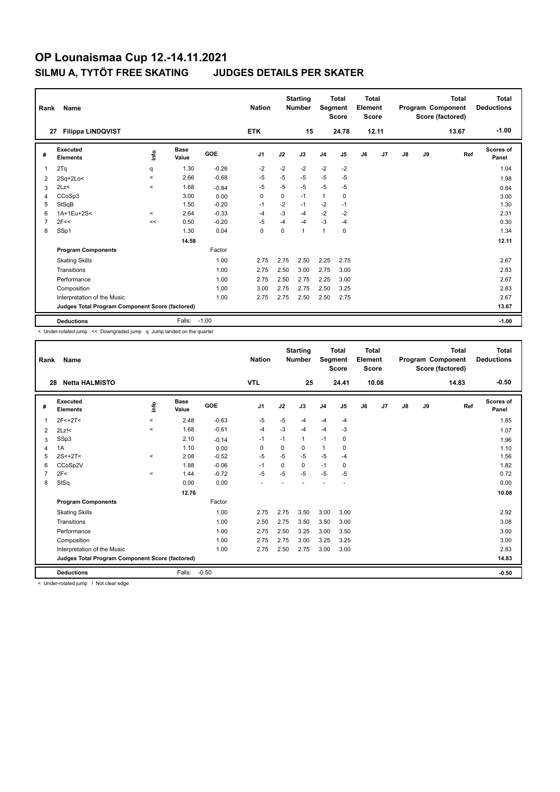| Rank           | Name                                            |         |                      |            | <b>Nation</b>  |          | <b>Starting</b><br><b>Number</b> | Segment        | <b>Total</b><br><b>Score</b> | Total<br>Element<br><b>Score</b> |       |    |    | <b>Total</b><br>Program Component<br>Score (factored) | <b>Total</b><br><b>Deductions</b> |
|----------------|-------------------------------------------------|---------|----------------------|------------|----------------|----------|----------------------------------|----------------|------------------------------|----------------------------------|-------|----|----|-------------------------------------------------------|-----------------------------------|
|                | <b>Filippa LINDQVIST</b><br>27                  |         |                      |            | <b>ETK</b>     |          | 15                               |                | 24.78                        |                                  | 12.11 |    |    | 13.67                                                 | $-1.00$                           |
| #              | Executed<br><b>Elements</b>                     | lnfo    | <b>Base</b><br>Value | <b>GOE</b> | J <sub>1</sub> | J2       | J3                               | J <sub>4</sub> | J5                           | J6                               | J7    | J8 | J9 | Ref                                                   | <b>Scores of</b><br>Panel         |
| 1              | 2Tq                                             | q       | 1.30                 | $-0.26$    | $-2$           | $-2$     | $-2$                             | $-2$           | $-2$                         |                                  |       |    |    |                                                       | 1.04                              |
| 2              | $2Sq+2Lo<$                                      | $\prec$ | 2.66                 | $-0.68$    | $-5$           | $-5$     | $-5$                             | $-5$           | $-5$                         |                                  |       |    |    |                                                       | 1.98                              |
| 3              | 2Lz<                                            | $\prec$ | 1.68                 | $-0.84$    | $-5$           | $-5$     | $-5$                             | $-5$           | $-5$                         |                                  |       |    |    |                                                       | 0.84                              |
| 4              | CCoSp3                                          |         | 3.00                 | 0.00       | 0              | $\Omega$ | $-1$                             | $\overline{1}$ | 0                            |                                  |       |    |    |                                                       | 3.00                              |
| 5              | StSqB                                           |         | 1.50                 | $-0.20$    | $-1$           | $-2$     | $-1$                             | $-2$           | $-1$                         |                                  |       |    |    |                                                       | 1.30                              |
| 6              | 1A+1Eu+2S<                                      | $\prec$ | 2.64                 | $-0.33$    | -4             | $-3$     | $-4$                             | $-2$           | $-2$                         |                                  |       |    |    |                                                       | 2.31                              |
| $\overline{7}$ | 2F<<                                            | <<      | 0.50                 | $-0.20$    | $-5$           | $-4$     | $-4$                             | $-3$           | $-4$                         |                                  |       |    |    |                                                       | 0.30                              |
| 8              | SSp1                                            |         | 1.30                 | 0.04       | 0              | $\Omega$ | $\overline{1}$                   | $\overline{1}$ | 0                            |                                  |       |    |    |                                                       | 1.34                              |
|                |                                                 |         | 14.58                |            |                |          |                                  |                |                              |                                  |       |    |    |                                                       | 12.11                             |
|                | <b>Program Components</b>                       |         |                      | Factor     |                |          |                                  |                |                              |                                  |       |    |    |                                                       |                                   |
|                | <b>Skating Skills</b>                           |         |                      | 1.00       | 2.75           | 2.75     | 2.50                             | 2.25           | 2.75                         |                                  |       |    |    |                                                       | 2.67                              |
|                | Transitions                                     |         |                      | 1.00       | 2.75           | 2.50     | 3.00                             | 2.75           | 3.00                         |                                  |       |    |    |                                                       | 2.83                              |
|                | Performance                                     |         |                      | 1.00       | 2.75           | 2.50     | 2.75                             | 2.25           | 3.00                         |                                  |       |    |    |                                                       | 2.67                              |
|                | Composition                                     |         |                      | 1.00       | 3.00           | 2.75     | 2.75                             | 2.50           | 3.25                         |                                  |       |    |    |                                                       | 2.83                              |
|                | Interpretation of the Music                     |         |                      | 1.00       | 2.75           | 2.75     | 2.50                             | 2.50           | 2.75                         |                                  |       |    |    |                                                       | 2.67                              |
|                | Judges Total Program Component Score (factored) |         |                      |            |                |          |                                  |                |                              |                                  |       |    |    |                                                       | 13.67                             |
|                | <b>Deductions</b>                               |         | Falls:               | $-1.00$    |                |          |                                  |                |                              |                                  |       |    |    |                                                       | $-1.00$                           |

< Under-rotated jump << Downgraded jump q Jump landed on the quarter

| Rank | <b>Name</b>                                     |         |                      |         | <b>Nation</b>            |          | <b>Starting</b><br><b>Number</b> | Segment        | <b>Total</b><br><b>Score</b> | <b>Total</b><br>Element<br><b>Score</b> |       |    |    | <b>Total</b><br>Program Component<br>Score (factored) | <b>Total</b><br><b>Deductions</b> |
|------|-------------------------------------------------|---------|----------------------|---------|--------------------------|----------|----------------------------------|----------------|------------------------------|-----------------------------------------|-------|----|----|-------------------------------------------------------|-----------------------------------|
| 28   | <b>Netta HALMISTO</b>                           |         |                      |         | <b>VTL</b>               |          | 25                               |                | 24.41                        |                                         | 10.08 |    |    | 14.83                                                 | $-0.50$                           |
| #    | Executed<br><b>Elements</b>                     | lnfo    | <b>Base</b><br>Value | GOE     | J <sub>1</sub>           | J2       | J3                               | J <sub>4</sub> | J5                           | J6                                      | J7    | J8 | J9 | Ref                                                   | <b>Scores of</b><br>Panel         |
| 1    | $2F<+2T<$                                       | $\,<\,$ | 2.48                 | $-0.63$ | $-5$                     | $-5$     | $-4$                             | $-4$           | $-4$                         |                                         |       |    |    |                                                       | 1.85                              |
| 2    | $2Lz$ !<                                        | $\prec$ | 1.68                 | $-0.61$ | $-4$                     | $-3$     | $-4$                             | $-4$           | $-3$                         |                                         |       |    |    |                                                       | 1.07                              |
| 3    | SSp3                                            |         | 2.10                 | $-0.14$ | $-1$                     | $-1$     | 1                                | $-1$           | 0                            |                                         |       |    |    |                                                       | 1.96                              |
| 4    | 1A                                              |         | 1.10                 | 0.00    | $\Omega$                 | $\Omega$ | 0                                | $\mathbf{1}$   | $\Omega$                     |                                         |       |    |    |                                                       | 1.10                              |
| 5    | $2S < +2T <$                                    | $\,<\,$ | 2.08                 | $-0.52$ | $-5$                     | $-5$     | $-5$                             | $-5$           | $-4$                         |                                         |       |    |    |                                                       | 1.56                              |
| 6    | CCoSp2V                                         |         | 1.88                 | $-0.06$ | $-1$                     | 0        | 0                                | $-1$           | 0                            |                                         |       |    |    |                                                       | 1.82                              |
|      | 2F<                                             | $\,<$   | 1.44                 | $-0.72$ | $-5$                     | $-5$     | $-5$                             | $-5$           | $-5$                         |                                         |       |    |    |                                                       | 0.72                              |
| 8    | StSq                                            |         | 0.00                 | 0.00    | $\overline{\phantom{a}}$ |          |                                  |                |                              |                                         |       |    |    |                                                       | 0.00                              |
|      |                                                 |         | 12.76                |         |                          |          |                                  |                |                              |                                         |       |    |    |                                                       | 10.08                             |
|      | <b>Program Components</b>                       |         |                      | Factor  |                          |          |                                  |                |                              |                                         |       |    |    |                                                       |                                   |
|      | <b>Skating Skills</b>                           |         |                      | 1.00    | 2.75                     | 2.75     | 3.50                             | 3.00           | 3.00                         |                                         |       |    |    |                                                       | 2.92                              |
|      | Transitions                                     |         |                      | 1.00    | 2.50                     | 2.75     | 3.50                             | 3.50           | 3.00                         |                                         |       |    |    |                                                       | 3.08                              |
|      | Performance                                     |         |                      | 1.00    | 2.75                     | 2.50     | 3.25                             | 3.00           | 3.50                         |                                         |       |    |    |                                                       | 3.00                              |
|      | Composition                                     |         |                      | 1.00    | 2.75                     | 2.75     | 3.00                             | 3.25           | 3.25                         |                                         |       |    |    |                                                       | 3.00                              |
|      | Interpretation of the Music                     |         |                      | 1.00    | 2.75                     | 2.50     | 2.75                             | 3.00           | 3.00                         |                                         |       |    |    |                                                       | 2.83                              |
|      | Judges Total Program Component Score (factored) |         |                      |         |                          |          |                                  |                |                              |                                         |       |    |    |                                                       | 14.83                             |
|      | <b>Deductions</b>                               |         | Falls:               | $-0.50$ |                          |          |                                  |                |                              |                                         |       |    |    |                                                       | $-0.50$                           |

< Under-rotated jump ! Not clear edge